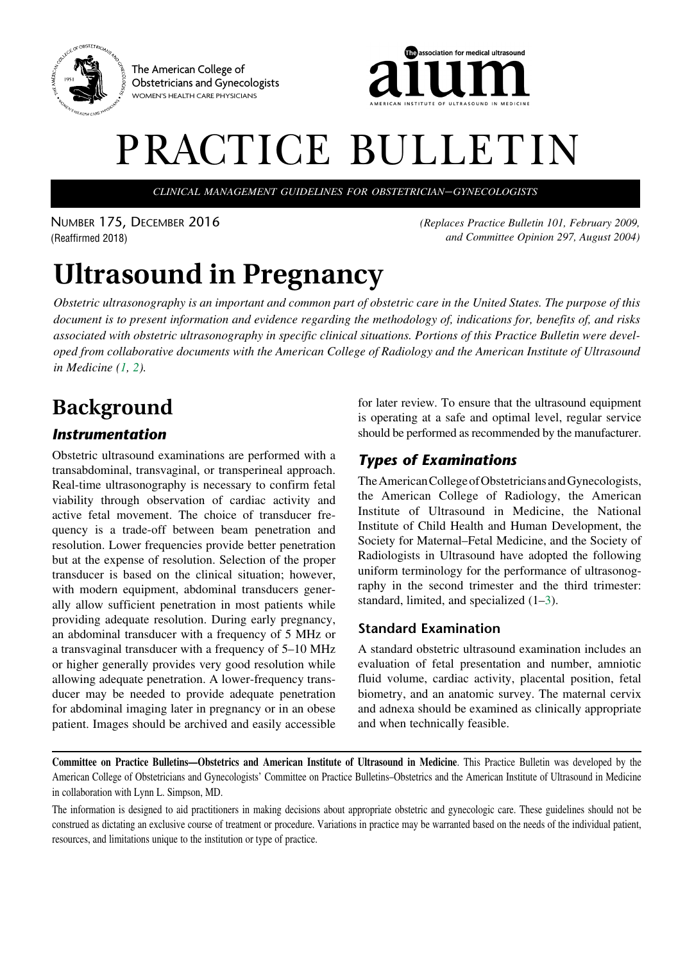

The American College of Obstetricians and Gynecologists WOMEN'S HEALTH CARE PHYSICIANS



# PRACTICE BULLETIN

*clinical management guidelines for obstetrician–gynecologists*

Number 175, December 2016 *(Replaces Practice Bulletin 101, February 2009,*  (Reaffirmed 2018) *and Committee Opinion 297, August 2004)*

# **Ultrasound in Pregnancy**

*Obstetric ultrasonography is an important and common part of obstetric care in the United States. The purpose of this document is to present information and evidence regarding the methodology of, indications for, benefits of, and risks associated with obstetric ultrasonography in specific clinical situations. Portions of this Practice Bulletin were developed from collaborative documents with the American College of Radiology and the American Institute of Ultrasound in Medicine ([1,](#page-11-1) [2](#page-11-2)).*

# <span id="page-0-1"></span><span id="page-0-0"></span>**Background**

## *Instrumentation*

Obstetric ultrasound examinations are performed with a transabdominal, transvaginal, or transperineal approach. Real-time ultrasonography is necessary to confirm fetal viability through observation of cardiac activity and active fetal movement. The choice of transducer frequency is a trade-off between beam penetration and resolution. Lower frequencies provide better penetration but at the expense of resolution. Selection of the proper transducer is based on the clinical situation; however, with modern equipment, abdominal transducers generally allow sufficient penetration in most patients while providing adequate resolution. During early pregnancy, an abdominal transducer with a frequency of 5 MHz or a transvaginal transducer with a frequency of 5–10 MHz or higher generally provides very good resolution while allowing adequate penetration. A lower-frequency transducer may be needed to provide adequate penetration for abdominal imaging later in pregnancy or in an obese patient. Images should be archived and easily accessible for later review. To ensure that the ultrasound equipment is operating at a safe and optimal level, regular service should be performed as recommended by the manufacturer.

## *Types of Examinations*

<span id="page-0-2"></span>The American College of Obstetricians and Gynecologists, the American College of Radiology, the American Institute of Ultrasound in Medicine, the National Institute of Child Health and Human Development, the Society for Maternal–Fetal Medicine, and the Society of Radiologists in Ultrasound have adopted the following uniform terminology for the performance of ultrasonography in the second trimester and the third trimester: standard, limited, and specialized (1[–3](#page-11-0)).

## **Standard Examination**

A standard obstetric ultrasound examination includes an evaluation of fetal presentation and number, amniotic fluid volume, cardiac activity, placental position, fetal biometry, and an anatomic survey. The maternal cervix and adnexa should be examined as clinically appropriate and when technically feasible.

**Committee on Practice Bulletins—Obstetrics and American Institute of Ultrasound in Medicine**. This Practice Bulletin was developed by the American College of Obstetricians and Gynecologists' Committee on Practice Bulletins–Obstetrics and the American Institute of Ultrasound in Medicine in collaboration with Lynn L. Simpson, MD.

The information is designed to aid practitioners in making decisions about appropriate obstetric and gynecologic care. These guidelines should not be construed as dictating an exclusive course of treatment or procedure. Variations in practice may be warranted based on the needs of the individual patient, resources, and limitations unique to the institution or type of practice.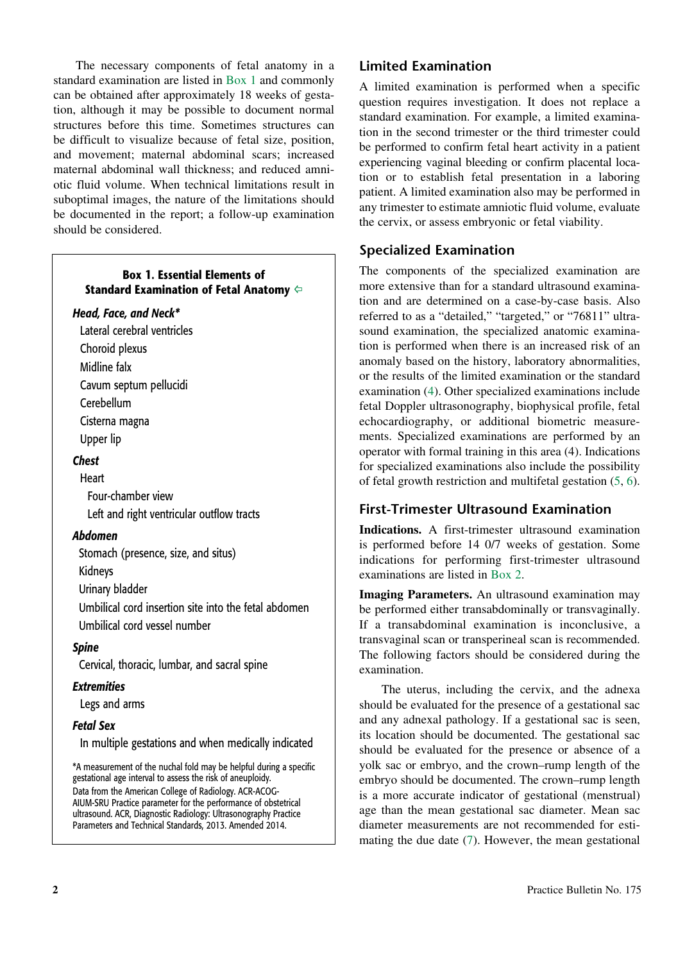<span id="page-1-1"></span>The necessary components of fetal anatomy in a standard examination are listed in [Box 1](#page-1-0) and commonly can be obtained after approximately 18 weeks of gestation, although it may be possible to document normal structures before this time. Sometimes structures can be difficult to visualize because of fetal size, position, and movement; maternal abdominal scars; increased maternal abdominal wall thickness; and reduced amniotic fluid volume. When technical limitations result in suboptimal images, the nature of the limitations should be documented in the report; a follow-up examination should be considered.

#### <span id="page-1-0"></span>**Box 1. Essential Elements of Standard Examination of Fetal Anatomy** [^](#page-1-1)

#### *Head, Face, and Neck\**

Lateral cerebral ventricles Choroid plexus Midline falx Cavum septum pellucidi Cerebellum Cisterna magna Upper lip

#### *Chest*

**Heart** 

Four-chamber view Left and right ventricular outflow tracts

#### *Abdomen*

Stomach (presence, size, and situs)

Kidneys

Urinary bladder

Umbilical cord insertion site into the fetal abdomen Umbilical cord vessel number

#### *Spine*

Cervical, thoracic, lumbar, and sacral spine

#### *Extremities*

Legs and arms

#### *Fetal Sex*

In multiple gestations and when medically indicated

\*A measurement of the nuchal fold may be helpful during a specific gestational age interval to assess the risk of aneuploidy.

Data from the American College of Radiology. ACR-ACOG-AIUM-SRU Practice parameter for the performance of obstetrical ultrasound. ACR, Diagnostic Radiology: Ultrasonography Practice Parameters and Technical Standards, 2013. Amended 2014.

#### **Limited Examination**

A limited examination is performed when a specific question requires investigation. It does not replace a standard examination. For example, a limited examination in the second trimester or the third trimester could be performed to confirm fetal heart activity in a patient experiencing vaginal bleeding or confirm placental location or to establish fetal presentation in a laboring patient. A limited examination also may be performed in any trimester to estimate amniotic fluid volume, evaluate the cervix, or assess embryonic or fetal viability.

#### **Specialized Examination**

<span id="page-1-3"></span>The components of the specialized examination are more extensive than for a standard ultrasound examination and are determined on a case-by-case basis. Also referred to as a "detailed," "targeted," or "76811" ultrasound examination, the specialized anatomic examination is performed when there is an increased risk of an anomaly based on the history, laboratory abnormalities, or the results of the limited examination or the standard examination [\(4](#page-11-3)). Other specialized examinations include fetal Doppler ultrasonography, biophysical profile, fetal echocardiography, or additional biometric measurements. Specialized examinations are performed by an operator with formal training in this area (4). Indications for specialized examinations also include the possibility of fetal growth restriction and multifetal gestation [\(5](#page-11-4), [6](#page-11-5)).

#### <span id="page-1-5"></span><span id="page-1-4"></span>**First-Trimester Ultrasound Examination**

**Indications.** A first-trimester ultrasound examination is performed before 14 0/7 weeks of gestation. Some indications for performing first-trimester ultrasound examinations are listed in [Box 2](#page-2-0).

<span id="page-1-2"></span>**Imaging Parameters.** An ultrasound examination may be performed either transabdominally or transvaginally. If a transabdominal examination is inconclusive, a transvaginal scan or transperineal scan is recommended. The following factors should be considered during the examination.

<span id="page-1-6"></span>The uterus, including the cervix, and the adnexa should be evaluated for the presence of a gestational sac and any adnexal pathology. If a gestational sac is seen, its location should be documented. The gestational sac should be evaluated for the presence or absence of a yolk sac or embryo, and the crown–rump length of the embryo should be documented. The crown–rump length is a more accurate indicator of gestational (menstrual) age than the mean gestational sac diameter. Mean sac diameter measurements are not recommended for estimating the due date ([7\)](#page-11-6). However, the mean gestational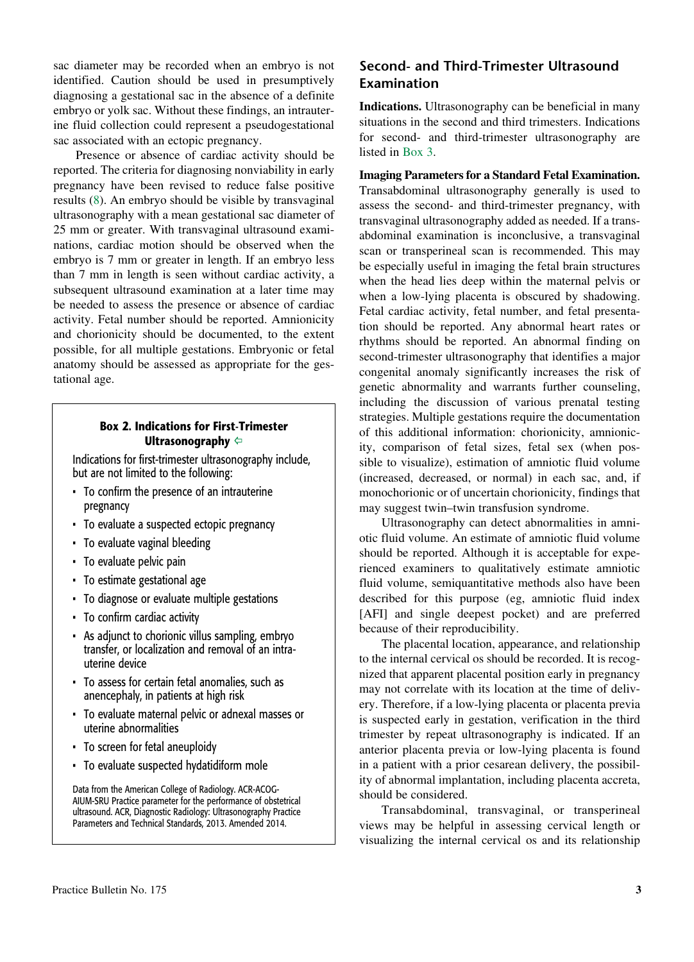sac diameter may be recorded when an embryo is not identified. Caution should be used in presumptively diagnosing a gestational sac in the absence of a definite embryo or yolk sac. Without these findings, an intrauterine fluid collection could represent a pseudogestational sac associated with an ectopic pregnancy.

<span id="page-2-2"></span>Presence or absence of cardiac activity should be reported. The criteria for diagnosing nonviability in early pregnancy have been revised to reduce false positive results [\(8](#page-11-7)). An embryo should be visible by transvaginal ultrasonography with a mean gestational sac diameter of 25 mm or greater. With transvaginal ultrasound examinations, cardiac motion should be observed when the embryo is 7 mm or greater in length. If an embryo less than 7 mm in length is seen without cardiac activity, a subsequent ultrasound examination at a later time may be needed to assess the presence or absence of cardiac activity. Fetal number should be reported. Amnionicity and chorionicity should be documented, to the extent possible, for all multiple gestations. Embryonic or fetal anatomy should be assessed as appropriate for the gestational age.

#### <span id="page-2-0"></span>**Box 2. Indications for First-Trimester Ultrasonography** [^](#page-1-2)

Indications for first-trimester ultrasonography include, but are not limited to the following:

- To confirm the presence of an intrauterine pregnancy
- To evaluate a suspected ectopic pregnancy
- To evaluate vaginal bleeding
- To evaluate pelvic pain
- To estimate gestational age
- To diagnose or evaluate multiple gestations
- To confirm cardiac activity
- As adjunct to chorionic villus sampling, embryo transfer, or localization and removal of an intrauterine device
- To assess for certain fetal anomalies, such as anencephaly, in patients at high risk
- To evaluate maternal pelvic or adnexal masses or uterine abnormalities
- To screen for fetal aneuploidy
- To evaluate suspected hydatidiform mole

Data from the American College of Radiology. ACR-ACOG-AIUM-SRU Practice parameter for the performance of obstetrical ultrasound. ACR, Diagnostic Radiology: Ultrasonography Practice Parameters and Technical Standards, 2013. Amended 2014.

## **Second- and Third-Trimester Ultrasound Examination**

**Indications.** Ultrasonography can be beneficial in many situations in the second and third trimesters. Indications for second- and third-trimester ultrasonography are listed in [Box 3](#page-3-0).

<span id="page-2-1"></span>**Imaging Parameters for a Standard Fetal Examination.**  Transabdominal ultrasonography generally is used to assess the second- and third-trimester pregnancy, with transvaginal ultrasonography added as needed. If a transabdominal examination is inconclusive, a transvaginal scan or transperineal scan is recommended. This may be especially useful in imaging the fetal brain structures when the head lies deep within the maternal pelvis or when a low-lying placenta is obscured by shadowing. Fetal cardiac activity, fetal number, and fetal presentation should be reported. Any abnormal heart rates or rhythms should be reported. An abnormal finding on second-trimester ultrasonography that identifies a major congenital anomaly significantly increases the risk of genetic abnormality and warrants further counseling, including the discussion of various prenatal testing strategies. Multiple gestations require the documentation of this additional information: chorionicity, amnionicity, comparison of fetal sizes, fetal sex (when possible to visualize), estimation of amniotic fluid volume (increased, decreased, or normal) in each sac, and, if monochorionic or of uncertain chorionicity, findings that may suggest twin–twin transfusion syndrome.

Ultrasonography can detect abnormalities in amniotic fluid volume. An estimate of amniotic fluid volume should be reported. Although it is acceptable for experienced examiners to qualitatively estimate amniotic fluid volume, semiquantitative methods also have been described for this purpose (eg, amniotic fluid index [AFI] and single deepest pocket) and are preferred because of their reproducibility.

The placental location, appearance, and relationship to the internal cervical os should be recorded. It is recognized that apparent placental position early in pregnancy may not correlate with its location at the time of delivery. Therefore, if a low-lying placenta or placenta previa is suspected early in gestation, verification in the third trimester by repeat ultrasonography is indicated. If an anterior placenta previa or low-lying placenta is found in a patient with a prior cesarean delivery, the possibility of abnormal implantation, including placenta accreta, should be considered.

Transabdominal, transvaginal, or transperineal views may be helpful in assessing cervical length or visualizing the internal cervical os and its relationship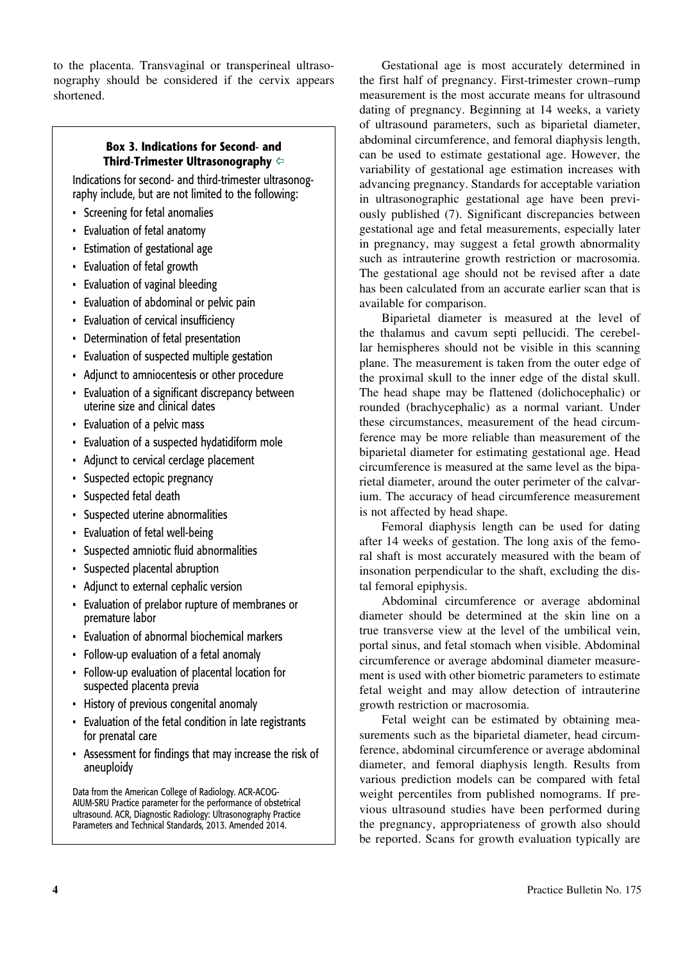to the placenta. Transvaginal or transperineal ultrasonography should be considered if the cervix appears shortened.

#### <span id="page-3-0"></span>**Box 3. Indications for Second- and Third-Trimester Ultrasonography** [^](#page-2-1)

Indications for second- and third-trimester ultrasonography include, but are not limited to the following:

- Screening for fetal anomalies
- Evaluation of fetal anatomy
- Estimation of gestational age
- Evaluation of fetal growth
- Evaluation of vaginal bleeding
- Evaluation of abdominal or pelvic pain
- Evaluation of cervical insufficiency
- Determination of fetal presentation
- Evaluation of suspected multiple gestation
- Adjunct to amniocentesis or other procedure
- Evaluation of a significant discrepancy between uterine size and clinical dates
- Evaluation of a pelvic mass
- Evaluation of a suspected hydatidiform mole
- Adjunct to cervical cerclage placement
- Suspected ectopic pregnancy
- Suspected fetal death
- Suspected uterine abnormalities
- Evaluation of fetal well-being
- Suspected amniotic fluid abnormalities
- Suspected placental abruption
- Adjunct to external cephalic version
- Evaluation of prelabor rupture of membranes or premature labor
- Evaluation of abnormal biochemical markers
- Follow-up evaluation of a fetal anomaly
- Follow-up evaluation of placental location for suspected placenta previa
- History of previous congenital anomaly
- Evaluation of the fetal condition in late registrants for prenatal care
- Assessment for findings that may increase the risk of aneuploidy

Data from the American College of Radiology. ACR-ACOG-AIUM-SRU Practice parameter for the performance of obstetrical ultrasound. ACR, Diagnostic Radiology: Ultrasonography Practice Parameters and Technical Standards, 2013. Amended 2014.

Gestational age is most accurately determined in the first half of pregnancy. First-trimester crown–rump measurement is the most accurate means for ultrasound dating of pregnancy. Beginning at 14 weeks, a variety of ultrasound parameters, such as biparietal diameter, abdominal circumference, and femoral diaphysis length, can be used to estimate gestational age. However, the variability of gestational age estimation increases with advancing pregnancy. Standards for acceptable variation in ultrasonographic gestational age have been previously published (7). Significant discrepancies between gestational age and fetal measurements, especially later in pregnancy, may suggest a fetal growth abnormality such as intrauterine growth restriction or macrosomia. The gestational age should not be revised after a date has been calculated from an accurate earlier scan that is available for comparison.

Biparietal diameter is measured at the level of the thalamus and cavum septi pellucidi. The cerebellar hemispheres should not be visible in this scanning plane. The measurement is taken from the outer edge of the proximal skull to the inner edge of the distal skull. The head shape may be flattened (dolichocephalic) or rounded (brachycephalic) as a normal variant. Under these circumstances, measurement of the head circumference may be more reliable than measurement of the biparietal diameter for estimating gestational age. Head circumference is measured at the same level as the biparietal diameter, around the outer perimeter of the calvarium. The accuracy of head circumference measurement is not affected by head shape.

Femoral diaphysis length can be used for dating after 14 weeks of gestation. The long axis of the femoral shaft is most accurately measured with the beam of insonation perpendicular to the shaft, excluding the distal femoral epiphysis.

Abdominal circumference or average abdominal diameter should be determined at the skin line on a true transverse view at the level of the umbilical vein, portal sinus, and fetal stomach when visible. Abdominal circumference or average abdominal diameter measurement is used with other biometric parameters to estimate fetal weight and may allow detection of intrauterine growth restriction or macrosomia.

Fetal weight can be estimated by obtaining measurements such as the biparietal diameter, head circumference, abdominal circumference or average abdominal diameter, and femoral diaphysis length. Results from various prediction models can be compared with fetal weight percentiles from published nomograms. If previous ultrasound studies have been performed during the pregnancy, appropriateness of growth also should be reported. Scans for growth evaluation typically are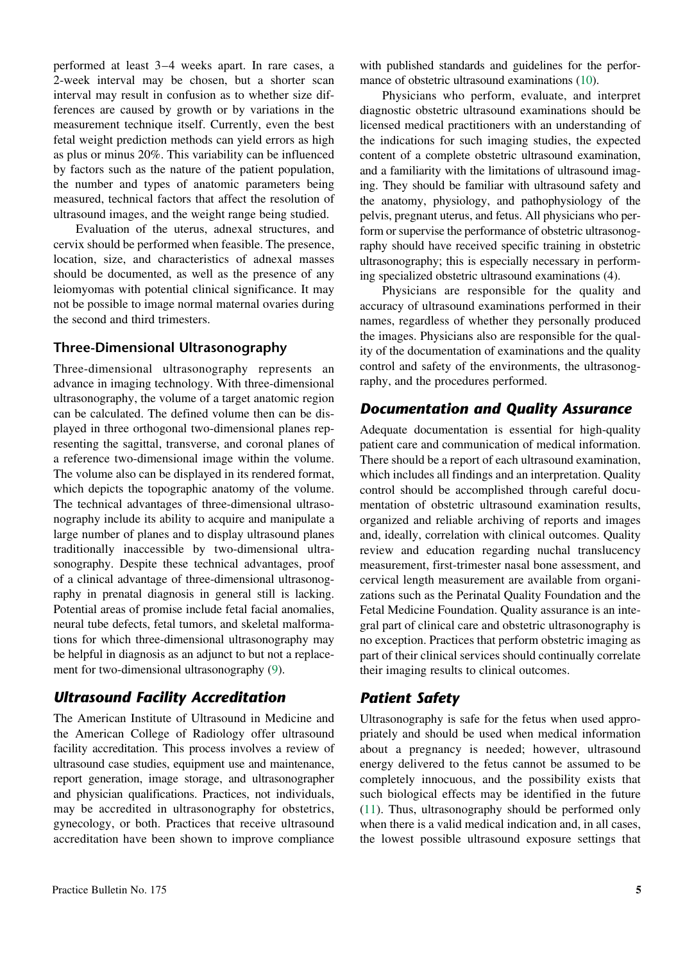performed at least 3–4 weeks apart. In rare cases, a 2-week interval may be chosen, but a shorter scan interval may result in confusion as to whether size differences are caused by growth or by variations in the measurement technique itself. Currently, even the best fetal weight prediction methods can yield errors as high as plus or minus 20%. This variability can be influenced by factors such as the nature of the patient population, the number and types of anatomic parameters being measured, technical factors that affect the resolution of ultrasound images, and the weight range being studied.

Evaluation of the uterus, adnexal structures, and cervix should be performed when feasible. The presence, location, size, and characteristics of adnexal masses should be documented, as well as the presence of any leiomyomas with potential clinical significance. It may not be possible to image normal maternal ovaries during the second and third trimesters.

#### **Three-Dimensional Ultrasonography**

Three-dimensional ultrasonography represents an advance in imaging technology. With three-dimensional ultrasonography, the volume of a target anatomic region can be calculated. The defined volume then can be displayed in three orthogonal two-dimensional planes representing the sagittal, transverse, and coronal planes of a reference two-dimensional image within the volume. The volume also can be displayed in its rendered format, which depicts the topographic anatomy of the volume. The technical advantages of three-dimensional ultrasonography include its ability to acquire and manipulate a large number of planes and to display ultrasound planes traditionally inaccessible by two-dimensional ultrasonography. Despite these technical advantages, proof of a clinical advantage of three-dimensional ultrasonography in prenatal diagnosis in general still is lacking. Potential areas of promise include fetal facial anomalies, neural tube defects, fetal tumors, and skeletal malformations for which three-dimensional ultrasonography may be helpful in diagnosis as an adjunct to but not a replacement for two-dimensional ultrasonography ([9\)](#page-11-8).

## <span id="page-4-0"></span>*Ultrasound Facility Accreditation*

The American Institute of Ultrasound in Medicine and the American College of Radiology offer ultrasound facility accreditation. This process involves a review of ultrasound case studies, equipment use and maintenance, report generation, image storage, and ultrasonographer and physician qualifications. Practices, not individuals, may be accredited in ultrasonography for obstetrics, gynecology, or both. Practices that receive ultrasound accreditation have been shown to improve compliance <span id="page-4-1"></span>with published standards and guidelines for the performance of obstetric ultrasound examinations ([10](#page-11-9)).

Physicians who perform, evaluate, and interpret diagnostic obstetric ultrasound examinations should be licensed medical practitioners with an understanding of the indications for such imaging studies, the expected content of a complete obstetric ultrasound examination, and a familiarity with the limitations of ultrasound imaging. They should be familiar with ultrasound safety and the anatomy, physiology, and pathophysiology of the pelvis, pregnant uterus, and fetus. All physicians who perform or supervise the performance of obstetric ultrasonography should have received specific training in obstetric ultrasonography; this is especially necessary in performing specialized obstetric ultrasound examinations (4).

Physicians are responsible for the quality and accuracy of ultrasound examinations performed in their names, regardless of whether they personally produced the images. Physicians also are responsible for the quality of the documentation of examinations and the quality control and safety of the environments, the ultrasonography, and the procedures performed.

## *Documentation and Quality Assurance*

Adequate documentation is essential for high-quality patient care and communication of medical information. There should be a report of each ultrasound examination, which includes all findings and an interpretation. Quality control should be accomplished through careful documentation of obstetric ultrasound examination results, organized and reliable archiving of reports and images and, ideally, correlation with clinical outcomes. Quality review and education regarding nuchal translucency measurement, first-trimester nasal bone assessment, and cervical length measurement are available from organizations such as the Perinatal Quality Foundation and the Fetal Medicine Foundation. Quality assurance is an integral part of clinical care and obstetric ultrasonography is no exception. Practices that perform obstetric imaging as part of their clinical services should continually correlate their imaging results to clinical outcomes.

## *Patient Safety*

<span id="page-4-2"></span>Ultrasonography is safe for the fetus when used appropriately and should be used when medical information about a pregnancy is needed; however, ultrasound energy delivered to the fetus cannot be assumed to be completely innocuous, and the possibility exists that such biological effects may be identified in the future ([11\)](#page-12-0). Thus, ultrasonography should be performed only when there is a valid medical indication and, in all cases, the lowest possible ultrasound exposure settings that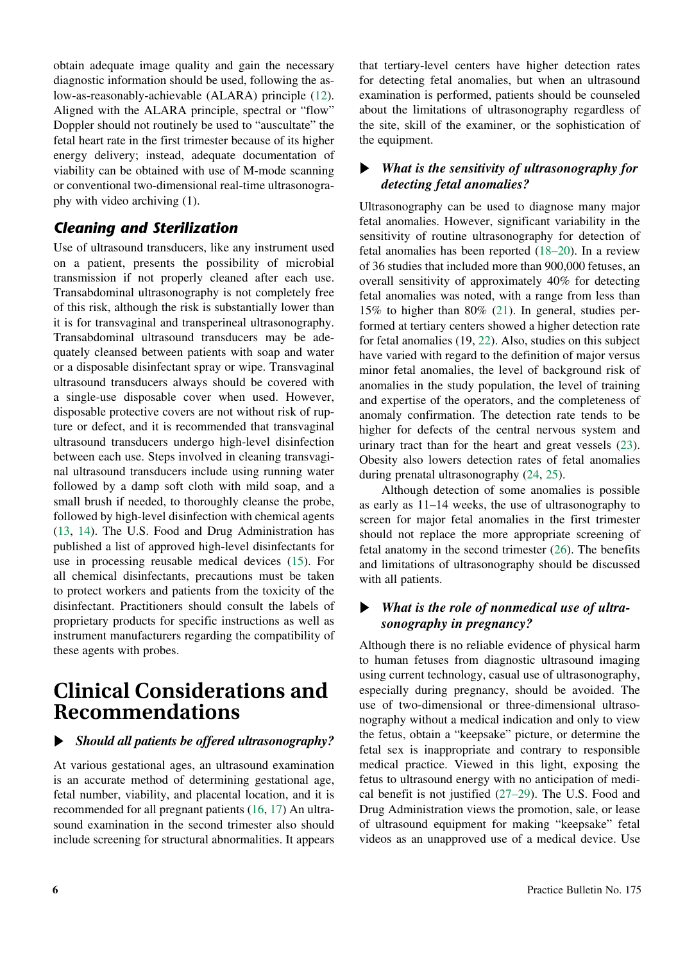<span id="page-5-0"></span>obtain adequate image quality and gain the necessary diagnostic information should be used, following the aslow-as-reasonably-achievable (ALARA) principle [\(12](#page-12-1)). Aligned with the ALARA principle, spectral or "flow" Doppler should not routinely be used to "auscultate" the fetal heart rate in the first trimester because of its higher energy delivery; instead, adequate documentation of viability can be obtained with use of M-mode scanning or conventional two-dimensional real-time ultrasonography with video archiving (1).

## *Cleaning and Sterilization*

Use of ultrasound transducers, like any instrument used on a patient, presents the possibility of microbial transmission if not properly cleaned after each use. Transabdominal ultrasonography is not completely free of this risk, although the risk is substantially lower than it is for transvaginal and transperineal ultrasonography. Transabdominal ultrasound transducers may be adequately cleansed between patients with soap and water or a disposable disinfectant spray or wipe. Transvaginal ultrasound transducers always should be covered with a single-use disposable cover when used. However, disposable protective covers are not without risk of rupture or defect, and it is recommended that transvaginal ultrasound transducers undergo high-level disinfection between each use. Steps involved in cleaning transvaginal ultrasound transducers include using running water followed by a damp soft cloth with mild soap, and a small brush if needed, to thoroughly cleanse the probe, followed by high-level disinfection with chemical agents [\(13](#page-12-2), [14\)](#page-12-3). The U.S. Food and Drug Administration has published a list of approved high-level disinfectants for use in processing reusable medical devices [\(15](#page-12-4)). For all chemical disinfectants, precautions must be taken to protect workers and patients from the toxicity of the disinfectant. Practitioners should consult the labels of proprietary products for specific instructions as well as instrument manufacturers regarding the compatibility of these agents with probes.

## <span id="page-5-3"></span><span id="page-5-2"></span><span id="page-5-1"></span>**Clinical Considerations and Recommendations**

#### $\blacktriangleright$ *Should all patients be offered ultrasonography?*

<span id="page-5-4"></span>At various gestational ages, an ultrasound examination is an accurate method of determining gestational age, fetal number, viability, and placental location, and it is recommended for all pregnant patients [\(16](#page-12-5), [17](#page-12-6)) An ultrasound examination in the second trimester also should include screening for structural abnormalities. It appears that tertiary-level centers have higher detection rates for detecting fetal anomalies, but when an ultrasound examination is performed, patients should be counseled about the limitations of ultrasonography regardless of the site, skill of the examiner, or the sophistication of the equipment.

#### *What is the sensitivity of ultrasonography for detecting fetal anomalies?*

<span id="page-5-8"></span><span id="page-5-7"></span><span id="page-5-6"></span>Ultrasonography can be used to diagnose many major fetal anomalies. However, significant variability in the sensitivity of routine ultrasonography for detection of fetal anomalies has been reported ([18–20\)](#page-12-7). In a review of 36 studies that included more than 900,000 fetuses, an overall sensitivity of approximately 40% for detecting fetal anomalies was noted, with a range from less than 15% to higher than 80% [\(21](#page-12-8)). In general, studies performed at tertiary centers showed a higher detection rate for fetal anomalies (19, [22\)](#page-12-9). Also, studies on this subject have varied with regard to the definition of major versus minor fetal anomalies, the level of background risk of anomalies in the study population, the level of training and expertise of the operators, and the completeness of anomaly confirmation. The detection rate tends to be higher for defects of the central nervous system and urinary tract than for the heart and great vessels [\(23](#page-12-10)). Obesity also lowers detection rates of fetal anomalies during prenatal ultrasonography ([24,](#page-12-11) [25](#page-12-12)).

<span id="page-5-12"></span><span id="page-5-11"></span><span id="page-5-10"></span><span id="page-5-9"></span>Although detection of some anomalies is possible as early as 11–14 weeks, the use of ultrasonography to screen for major fetal anomalies in the first trimester should not replace the more appropriate screening of fetal anatomy in the second trimester ([26\)](#page-12-13). The benefits and limitations of ultrasonography should be discussed with all patients.

## *What is the role of nonmedical use of ultrasonography in pregnancy?*

<span id="page-5-13"></span><span id="page-5-5"></span>Although there is no reliable evidence of physical harm to human fetuses from diagnostic ultrasound imaging using current technology, casual use of ultrasonography, especially during pregnancy, should be avoided. The use of two-dimensional or three-dimensional ultrasonography without a medical indication and only to view the fetus, obtain a "keepsake" picture, or determine the fetal sex is inappropriate and contrary to responsible medical practice. Viewed in this light, exposing the fetus to ultrasound energy with no anticipation of medical benefit is not justified ([27–29\)](#page-12-14). The U.S. Food and Drug Administration views the promotion, sale, or lease of ultrasound equipment for making "keepsake" fetal videos as an unapproved use of a medical device. Use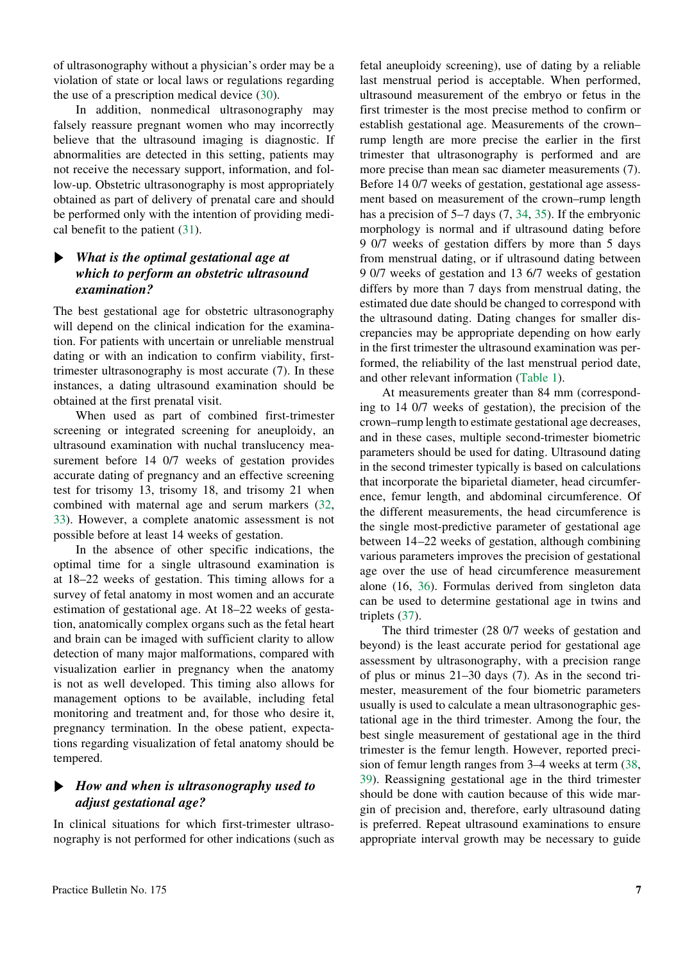of ultrasonography without a physician's order may be a violation of state or local laws or regulations regarding the use of a prescription medical device [\(30](#page-12-15)).

<span id="page-6-1"></span>In addition, nonmedical ultrasonography may falsely reassure pregnant women who may incorrectly believe that the ultrasound imaging is diagnostic. If abnormalities are detected in this setting, patients may not receive the necessary support, information, and follow-up. Obstetric ultrasonography is most appropriately obtained as part of delivery of prenatal care and should be performed only with the intention of providing medical benefit to the patient ([31\)](#page-12-16).

### <span id="page-6-2"></span>*What is the optimal gestational age at which to perform an obstetric ultrasound examination?*

The best gestational age for obstetric ultrasonography will depend on the clinical indication for the examination. For patients with uncertain or unreliable menstrual dating or with an indication to confirm viability, firsttrimester ultrasonography is most accurate (7). In these instances, a dating ultrasound examination should be obtained at the first prenatal visit.

When used as part of combined first-trimester screening or integrated screening for aneuploidy, an ultrasound examination with nuchal translucency measurement before 14 0/7 weeks of gestation provides accurate dating of pregnancy and an effective screening test for trisomy 13, trisomy 18, and trisomy 21 when combined with maternal age and serum markers [\(32](#page-12-17), [33](#page-12-18)). However, a complete anatomic assessment is not possible before at least 14 weeks of gestation.

<span id="page-6-4"></span><span id="page-6-3"></span>In the absence of other specific indications, the optimal time for a single ultrasound examination is at 18–22 weeks of gestation. This timing allows for a survey of fetal anatomy in most women and an accurate estimation of gestational age. At 18–22 weeks of gestation, anatomically complex organs such as the fetal heart and brain can be imaged with sufficient clarity to allow detection of many major malformations, compared with visualization earlier in pregnancy when the anatomy is not as well developed. This timing also allows for management options to be available, including fetal monitoring and treatment and, for those who desire it, pregnancy termination. In the obese patient, expectations regarding visualization of fetal anatomy should be tempered.

## *How and when is ultrasonography used to adjust gestational age?*

In clinical situations for which first-trimester ultrasonography is not performed for other indications (such as

<span id="page-6-6"></span><span id="page-6-5"></span>fetal aneuploidy screening), use of dating by a reliable last menstrual period is acceptable. When performed, ultrasound measurement of the embryo or fetus in the first trimester is the most precise method to confirm or establish gestational age. Measurements of the crown– rump length are more precise the earlier in the first trimester that ultrasonography is performed and are more precise than mean sac diameter measurements (7). Before 14 0/7 weeks of gestation, gestational age assessment based on measurement of the crown–rump length has a precision of 5–7 days  $(7, 34, 35)$  $(7, 34, 35)$  $(7, 34, 35)$  $(7, 34, 35)$  $(7, 34, 35)$ . If the embryonic morphology is normal and if ultrasound dating before 9 0/7 weeks of gestation differs by more than 5 days from menstrual dating, or if ultrasound dating between 9 0/7 weeks of gestation and 13 6/7 weeks of gestation differs by more than 7 days from menstrual dating, the estimated due date should be changed to correspond with the ultrasound dating. Dating changes for smaller discrepancies may be appropriate depending on how early in the first trimester the ultrasound examination was performed, the reliability of the last menstrual period date, and other relevant information [\(Table 1\)](#page-7-0).

<span id="page-6-0"></span>At measurements greater than 84 mm (corresponding to 14 0/7 weeks of gestation), the precision of the crown–rump length to estimate gestational age decreases, and in these cases, multiple second-trimester biometric parameters should be used for dating. Ultrasound dating in the second trimester typically is based on calculations that incorporate the biparietal diameter, head circumference, femur length, and abdominal circumference. Of the different measurements, the head circumference is the single most-predictive parameter of gestational age between 14–22 weeks of gestation, although combining various parameters improves the precision of gestational age over the use of head circumference measurement alone (16, [36](#page-13-0)). Formulas derived from singleton data can be used to determine gestational age in twins and triplets [\(37](#page-13-1)).

<span id="page-6-10"></span><span id="page-6-9"></span><span id="page-6-8"></span><span id="page-6-7"></span>The third trimester (28 0/7 weeks of gestation and beyond) is the least accurate period for gestational age assessment by ultrasonography, with a precision range of plus or minus 21–30 days (7). As in the second trimester, measurement of the four biometric parameters usually is used to calculate a mean ultrasonographic gestational age in the third trimester. Among the four, the best single measurement of gestational age in the third trimester is the femur length. However, reported precision of femur length ranges from 3–4 weeks at term [\(38](#page-13-2), [39\)](#page-13-3). Reassigning gestational age in the third trimester should be done with caution because of this wide margin of precision and, therefore, early ultrasound dating is preferred. Repeat ultrasound examinations to ensure appropriate interval growth may be necessary to guide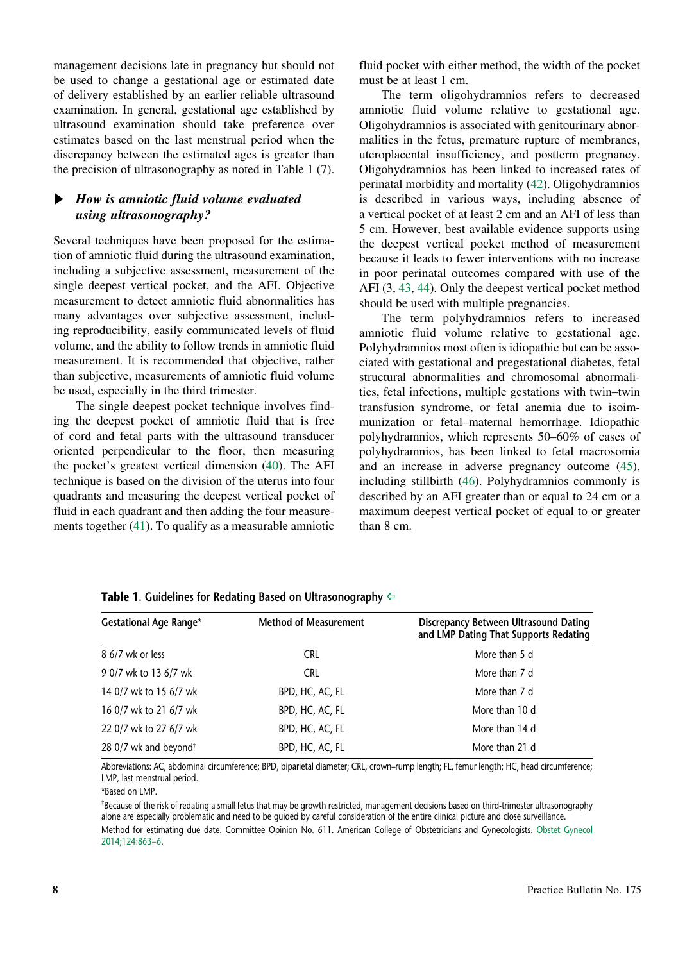management decisions late in pregnancy but should not be used to change a gestational age or estimated date of delivery established by an earlier reliable ultrasound examination. In general, gestational age established by ultrasound examination should take preference over estimates based on the last menstrual period when the discrepancy between the estimated ages is greater than the precision of ultrasonography as noted in Table 1 (7).

#### *How is amniotic fluid volume evaluated using ultrasonography?*

Several techniques have been proposed for the estimation of amniotic fluid during the ultrasound examination, including a subjective assessment, measurement of the single deepest vertical pocket, and the AFI. Objective measurement to detect amniotic fluid abnormalities has many advantages over subjective assessment, including reproducibility, easily communicated levels of fluid volume, and the ability to follow trends in amniotic fluid measurement. It is recommended that objective, rather than subjective, measurements of amniotic fluid volume be used, especially in the third trimester.

<span id="page-7-1"></span>The single deepest pocket technique involves finding the deepest pocket of amniotic fluid that is free of cord and fetal parts with the ultrasound transducer oriented perpendicular to the floor, then measuring the pocket's greatest vertical dimension ([40\)](#page-13-4). The AFI technique is based on the division of the uterus into four quadrants and measuring the deepest vertical pocket of fluid in each quadrant and then adding the four measurements together [\(41](#page-13-5)). To qualify as a measurable amniotic fluid pocket with either method, the width of the pocket must be at least 1 cm.

<span id="page-7-3"></span>The term oligohydramnios refers to decreased amniotic fluid volume relative to gestational age. Oligohydramnios is associated with genitourinary abnormalities in the fetus, premature rupture of membranes, uteroplacental insufficiency, and postterm pregnancy. Oligohydramnios has been linked to increased rates of perinatal morbidity and mortality ([42\)](#page-13-6). Oligohydramnios is described in various ways, including absence of a vertical pocket of at least 2 cm and an AFI of less than 5 cm. However, best available evidence supports using the deepest vertical pocket method of measurement because it leads to fewer interventions with no increase in poor perinatal outcomes compared with use of the AFI (3, [43,](#page-13-7) [44\)](#page-13-8). Only the deepest vertical pocket method should be used with multiple pregnancies.

<span id="page-7-7"></span><span id="page-7-6"></span><span id="page-7-5"></span><span id="page-7-4"></span>The term polyhydramnios refers to increased amniotic fluid volume relative to gestational age. Polyhydramnios most often is idiopathic but can be associated with gestational and pregestational diabetes, fetal structural abnormalities and chromosomal abnormalities, fetal infections, multiple gestations with twin–twin transfusion syndrome, or fetal anemia due to isoimmunization or fetal–maternal hemorrhage. Idiopathic polyhydramnios, which represents 50–60% of cases of polyhydramnios, has been linked to fetal macrosomia and an increase in adverse pregnancy outcome [\(45](#page-13-9)), including stillbirth [\(46](#page-13-10)). Polyhydramnios commonly is described by an AFI greater than or equal to 24 cm or a maximum deepest vertical pocket of equal to or greater than 8 cm.

| <b>Gestational Age Range*</b>     | <b>Method of Measurement</b> | Discrepancy Between Ultrasound Dating<br>and LMP Dating That Supports Redating |
|-----------------------------------|------------------------------|--------------------------------------------------------------------------------|
| 8 6/7 wk or less                  | <b>CRL</b>                   | More than 5 d                                                                  |
| 9 0/7 wk to 13 6/7 wk             | <b>CRL</b>                   | More than 7 d                                                                  |
| 14 0/7 wk to 15 6/7 wk            | BPD, HC, AC, FL              | More than 7 d                                                                  |
| 16 0/7 wk to 21 6/7 wk            | BPD, HC, AC, FL              | More than 10 d                                                                 |
| 22 0/7 wk to 27 6/7 wk            | BPD, HC, AC, FL              | More than 14 d                                                                 |
| 28 0/7 wk and beyond <sup>†</sup> | BPD, HC, AC, FL              | More than 21 d                                                                 |

<span id="page-7-2"></span><span id="page-7-0"></span>**Table 1. Guidelines for Redating Based on Ultrasonography** [^](#page-6-0)

Abbreviations: AC, abdominal circumference; BPD, biparietal diameter; CRL, crown–rump length; FL, femur length; HC, head circumference; LMP, last menstrual period.

\*Based on LMP.

† Because of the risk of redating a small fetus that may be growth restricted, management decisions based on third-trimester ultrasonography alone are especially problematic and need to be guided by careful consideration of the entire clinical picture and close surveillance. Method for estimating due date. Committee Opinion No. 611. American College of Obstetricians and Gynecologists. [Obstet Gynecol](https://www.ncbi.nlm.nih.gov/pubmed/25244460)  [2014;124:863–6.](https://www.ncbi.nlm.nih.gov/pubmed/25244460)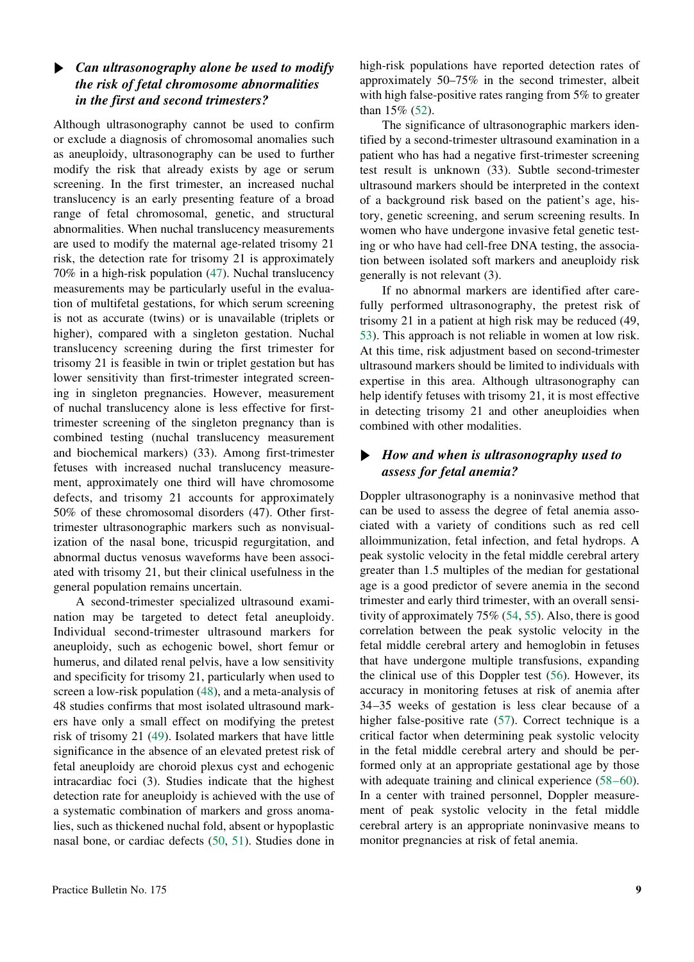#### *Can ultrasonography alone be used to modify the risk of fetal chromosome abnormalities in the first and second trimesters?*

<span id="page-8-0"></span>Although ultrasonography cannot be used to confirm or exclude a diagnosis of chromosomal anomalies such as aneuploidy, ultrasonography can be used to further modify the risk that already exists by age or serum screening. In the first trimester, an increased nuchal translucency is an early presenting feature of a broad range of fetal chromosomal, genetic, and structural abnormalities. When nuchal translucency measurements are used to modify the maternal age-related trisomy 21 risk, the detection rate for trisomy 21 is approximately 70% in a high-risk population [\(47\)](#page-13-11). Nuchal translucency measurements may be particularly useful in the evaluation of multifetal gestations, for which serum screening is not as accurate (twins) or is unavailable (triplets or higher), compared with a singleton gestation. Nuchal translucency screening during the first trimester for trisomy 21 is feasible in twin or triplet gestation but has lower sensitivity than first-trimester integrated screening in singleton pregnancies. However, measurement of nuchal translucency alone is less effective for firsttrimester screening of the singleton pregnancy than is combined testing (nuchal translucency measurement and biochemical markers) (33). Among first-trimester fetuses with increased nuchal translucency measurement, approximately one third will have chromosome defects, and trisomy 21 accounts for approximately 50% of these chromosomal disorders (47). Other firsttrimester ultrasonographic markers such as nonvisualization of the nasal bone, tricuspid regurgitation, and abnormal ductus venosus waveforms have been associated with trisomy 21, but their clinical usefulness in the general population remains uncertain.

<span id="page-8-3"></span><span id="page-8-2"></span><span id="page-8-1"></span>A second-trimester specialized ultrasound examination may be targeted to detect fetal aneuploidy. Individual second-trimester ultrasound markers for aneuploidy, such as echogenic bowel, short femur or humerus, and dilated renal pelvis, have a low sensitivity and specificity for trisomy 21, particularly when used to screen a low-risk population ([48\)](#page-13-12), and a meta-analysis of 48 studies confirms that most isolated ultrasound markers have only a small effect on modifying the pretest risk of trisomy 21 [\(49](#page-13-13)). Isolated markers that have little significance in the absence of an elevated pretest risk of fetal aneuploidy are choroid plexus cyst and echogenic intracardiac foci (3). Studies indicate that the highest detection rate for aneuploidy is achieved with the use of a systematic combination of markers and gross anomalies, such as thickened nuchal fold, absent or hypoplastic nasal bone, or cardiac defects ([50,](#page-13-14) [51\)](#page-13-15). Studies done in high-risk populations have reported detection rates of approximately 50–75% in the second trimester, albeit with high false-positive rates ranging from 5% to greater than 15% ([52\)](#page-13-16).

<span id="page-8-5"></span>The significance of ultrasonographic markers identified by a second-trimester ultrasound examination in a patient who has had a negative first-trimester screening test result is unknown (33). Subtle second-trimester ultrasound markers should be interpreted in the context of a background risk based on the patient's age, history, genetic screening, and serum screening results. In women who have undergone invasive fetal genetic testing or who have had cell-free DNA testing, the association between isolated soft markers and aneuploidy risk generally is not relevant (3).

<span id="page-8-6"></span>If no abnormal markers are identified after carefully performed ultrasonography, the pretest risk of trisomy 21 in a patient at high risk may be reduced (49, [53\)](#page-13-17). This approach is not reliable in women at low risk. At this time, risk adjustment based on second-trimester ultrasound markers should be limited to individuals with expertise in this area. Although ultrasonography can help identify fetuses with trisomy 21, it is most effective in detecting trisomy 21 and other aneuploidies when combined with other modalities.

## *How and when is ultrasonography used to assess for fetal anemia?*

<span id="page-8-11"></span><span id="page-8-10"></span><span id="page-8-9"></span><span id="page-8-8"></span><span id="page-8-7"></span><span id="page-8-4"></span>Doppler ultrasonography is a noninvasive method that can be used to assess the degree of fetal anemia associated with a variety of conditions such as red cell alloimmunization, fetal infection, and fetal hydrops. A peak systolic velocity in the fetal middle cerebral artery greater than 1.5 multiples of the median for gestational age is a good predictor of severe anemia in the second trimester and early third trimester, with an overall sensitivity of approximately 75% [\(54](#page-13-18), [55\)](#page-13-19). Also, there is good correlation between the peak systolic velocity in the fetal middle cerebral artery and hemoglobin in fetuses that have undergone multiple transfusions, expanding the clinical use of this Doppler test ([56\)](#page-13-20). However, its accuracy in monitoring fetuses at risk of anemia after 34–35 weeks of gestation is less clear because of a higher false-positive rate ([57\)](#page-13-21). Correct technique is a critical factor when determining peak systolic velocity in the fetal middle cerebral artery and should be performed only at an appropriate gestational age by those with adequate training and clinical experience [\(58–60\)](#page-13-22). In a center with trained personnel, Doppler measurement of peak systolic velocity in the fetal middle cerebral artery is an appropriate noninvasive means to monitor pregnancies at risk of fetal anemia.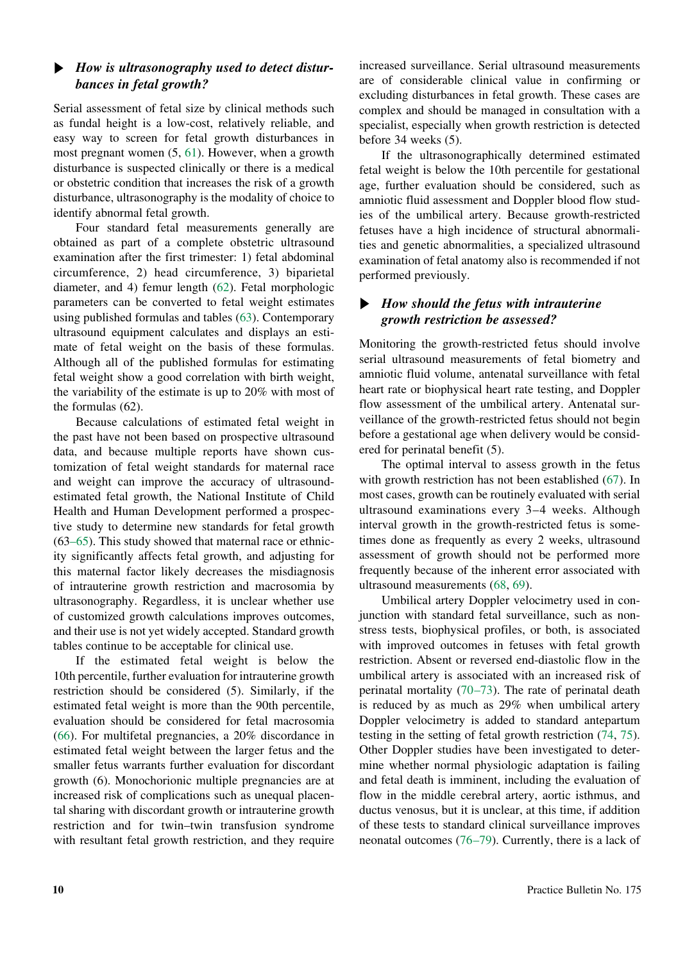#### *How is ultrasonography used to detect disturbances in fetal growth?*

<span id="page-9-0"></span>Serial assessment of fetal size by clinical methods such as fundal height is a low-cost, relatively reliable, and easy way to screen for fetal growth disturbances in most pregnant women (5, [61\)](#page-14-0). However, when a growth disturbance is suspected clinically or there is a medical or obstetric condition that increases the risk of a growth disturbance, ultrasonography is the modality of choice to identify abnormal fetal growth.

<span id="page-9-2"></span><span id="page-9-1"></span>Four standard fetal measurements generally are obtained as part of a complete obstetric ultrasound examination after the first trimester: 1) fetal abdominal circumference, 2) head circumference, 3) biparietal diameter, and 4) femur length [\(62](#page-14-1)). Fetal morphologic parameters can be converted to fetal weight estimates using published formulas and tables ([63\)](#page-14-2). Contemporary ultrasound equipment calculates and displays an estimate of fetal weight on the basis of these formulas. Although all of the published formulas for estimating fetal weight show a good correlation with birth weight, the variability of the estimate is up to 20% with most of the formulas (62).

<span id="page-9-3"></span>Because calculations of estimated fetal weight in the past have not been based on prospective ultrasound data, and because multiple reports have shown customization of fetal weight standards for maternal race and weight can improve the accuracy of ultrasoundestimated fetal growth, the National Institute of Child Health and Human Development performed a prospective study to determine new standards for fetal growth (6[3–65](#page-14-3)). This study showed that maternal race or ethnicity significantly affects fetal growth, and adjusting for this maternal factor likely decreases the misdiagnosis of intrauterine growth restriction and macrosomia by ultrasonography. Regardless, it is unclear whether use of customized growth calculations improves outcomes, and their use is not yet widely accepted. Standard growth tables continue to be acceptable for clinical use.

<span id="page-9-4"></span>If the estimated fetal weight is below the 10th percentile, further evaluation for intrauterine growth restriction should be considered (5). Similarly, if the estimated fetal weight is more than the 90th percentile, evaluation should be considered for fetal macrosomia [\(66](#page-14-4)). For multifetal pregnancies, a 20% discordance in estimated fetal weight between the larger fetus and the smaller fetus warrants further evaluation for discordant growth (6). Monochorionic multiple pregnancies are at increased risk of complications such as unequal placental sharing with discordant growth or intrauterine growth restriction and for twin–twin transfusion syndrome with resultant fetal growth restriction, and they require increased surveillance. Serial ultrasound measurements are of considerable clinical value in confirming or excluding disturbances in fetal growth. These cases are complex and should be managed in consultation with a specialist, especially when growth restriction is detected before 34 weeks (5).

If the ultrasonographically determined estimated fetal weight is below the 10th percentile for gestational age, further evaluation should be considered, such as amniotic fluid assessment and Doppler blood flow studies of the umbilical artery. Because growth-restricted fetuses have a high incidence of structural abnormalities and genetic abnormalities, a specialized ultrasound examination of fetal anatomy also is recommended if not performed previously.

#### *How should the fetus with intrauterine growth restriction be assessed?*

Monitoring the growth-restricted fetus should involve serial ultrasound measurements of fetal biometry and amniotic fluid volume, antenatal surveillance with fetal heart rate or biophysical heart rate testing, and Doppler flow assessment of the umbilical artery. Antenatal surveillance of the growth-restricted fetus should not begin before a gestational age when delivery would be considered for perinatal benefit (5).

<span id="page-9-5"></span>The optimal interval to assess growth in the fetus with growth restriction has not been established [\(67](#page-14-5)). In most cases, growth can be routinely evaluated with serial ultrasound examinations every 3–4 weeks. Although interval growth in the growth-restricted fetus is sometimes done as frequently as every 2 weeks, ultrasound assessment of growth should not be performed more frequently because of the inherent error associated with ultrasound measurements [\(68](#page-14-6), [69\)](#page-14-7).

<span id="page-9-11"></span><span id="page-9-10"></span><span id="page-9-9"></span><span id="page-9-8"></span><span id="page-9-7"></span><span id="page-9-6"></span>Umbilical artery Doppler velocimetry used in conjunction with standard fetal surveillance, such as nonstress tests, biophysical profiles, or both, is associated with improved outcomes in fetuses with fetal growth restriction. Absent or reversed end-diastolic flow in the umbilical artery is associated with an increased risk of perinatal mortality ([70–73](#page-14-8)). The rate of perinatal death is reduced by as much as 29% when umbilical artery Doppler velocimetry is added to standard antepartum testing in the setting of fetal growth restriction ([74,](#page-14-9) [75](#page-14-10)). Other Doppler studies have been investigated to determine whether normal physiologic adaptation is failing and fetal death is imminent, including the evaluation of flow in the middle cerebral artery, aortic isthmus, and ductus venosus, but it is unclear, at this time, if addition of these tests to standard clinical surveillance improves neonatal outcomes [\(76–79\)](#page-14-11). Currently, there is a lack of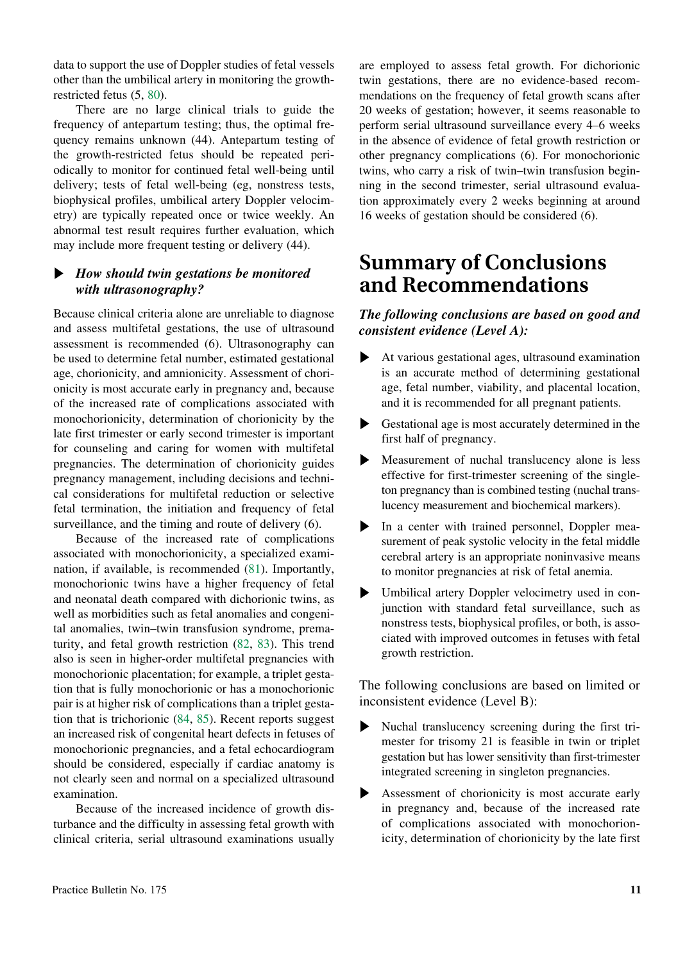data to support the use of Doppler studies of fetal vessels other than the umbilical artery in monitoring the growthrestricted fetus (5, [80\)](#page-14-12).

<span id="page-10-0"></span>There are no large clinical trials to guide the frequency of antepartum testing; thus, the optimal frequency remains unknown (44). Antepartum testing of the growth-restricted fetus should be repeated periodically to monitor for continued fetal well-being until delivery; tests of fetal well-being (eg, nonstress tests, biophysical profiles, umbilical artery Doppler velocimetry) are typically repeated once or twice weekly. An abnormal test result requires further evaluation, which may include more frequent testing or delivery (44).

#### *How should twin gestations be monitored with ultrasonography?*

Because clinical criteria alone are unreliable to diagnose and assess multifetal gestations, the use of ultrasound assessment is recommended (6). Ultrasonography can be used to determine fetal number, estimated gestational age, chorionicity, and amnionicity. Assessment of chorionicity is most accurate early in pregnancy and, because of the increased rate of complications associated with monochorionicity, determination of chorionicity by the late first trimester or early second trimester is important for counseling and caring for women with multifetal pregnancies. The determination of chorionicity guides pregnancy management, including decisions and technical considerations for multifetal reduction or selective fetal termination, the initiation and frequency of fetal surveillance, and the timing and route of delivery  $(6)$ .

<span id="page-10-2"></span><span id="page-10-1"></span>Because of the increased rate of complications associated with monochorionicity, a specialized examination, if available, is recommended ([81\)](#page-14-13). Importantly, monochorionic twins have a higher frequency of fetal and neonatal death compared with dichorionic twins, as well as morbidities such as fetal anomalies and congenital anomalies, twin–twin transfusion syndrome, prematurity, and fetal growth restriction ([82,](#page-14-14) [83](#page-14-15)). This trend also is seen in higher-order multifetal pregnancies with monochorionic placentation; for example, a triplet gestation that is fully monochorionic or has a monochorionic pair is at higher risk of complications than a triplet gestation that is trichorionic ([84,](#page-14-16) [85](#page-15-0)). Recent reports suggest an increased risk of congenital heart defects in fetuses of monochorionic pregnancies, and a fetal echocardiogram should be considered, especially if cardiac anatomy is not clearly seen and normal on a specialized ultrasound examination.

<span id="page-10-4"></span>Because of the increased incidence of growth disturbance and the difficulty in assessing fetal growth with clinical criteria, serial ultrasound examinations usually are employed to assess fetal growth. For dichorionic twin gestations, there are no evidence-based recommendations on the frequency of fetal growth scans after 20 weeks of gestation; however, it seems reasonable to perform serial ultrasound surveillance every 4–6 weeks in the absence of evidence of fetal growth restriction or other pregnancy complications (6). For monochorionic twins, who carry a risk of twin–twin transfusion beginning in the second trimester, serial ultrasound evaluation approximately every 2 weeks beginning at around 16 weeks of gestation should be considered (6).

## **Summary of Conclusions and Recommendations**

#### *The following conclusions are based on good and consistent evidence (Level A):*

- At various gestational ages, ultrasound examination is an accurate method of determining gestational age, fetal number, viability, and placental location, and it is recommended for all pregnant patients.
- Gestational age is most accurately determined in the first half of pregnancy.
- Measurement of nuchal translucency alone is less effective for first-trimester screening of the singleton pregnancy than is combined testing (nuchal translucency measurement and biochemical markers).
- In a center with trained personnel, Doppler measurement of peak systolic velocity in the fetal middle cerebral artery is an appropriate noninvasive means to monitor pregnancies at risk of fetal anemia.
- Umbilical artery Doppler velocimetry used in conjunction with standard fetal surveillance, such as nonstress tests, biophysical profiles, or both, is associated with improved outcomes in fetuses with fetal growth restriction.

<span id="page-10-3"></span>The following conclusions are based on limited or inconsistent evidence (Level B):

- <span id="page-10-5"></span>▶ Nuchal translucency screening during the first trimester for trisomy 21 is feasible in twin or triplet gestation but has lower sensitivity than first-trimester integrated screening in singleton pregnancies.
- Assessment of chorionicity is most accurate early in pregnancy and, because of the increased rate of complications associated with monochorionicity, determination of chorionicity by the late first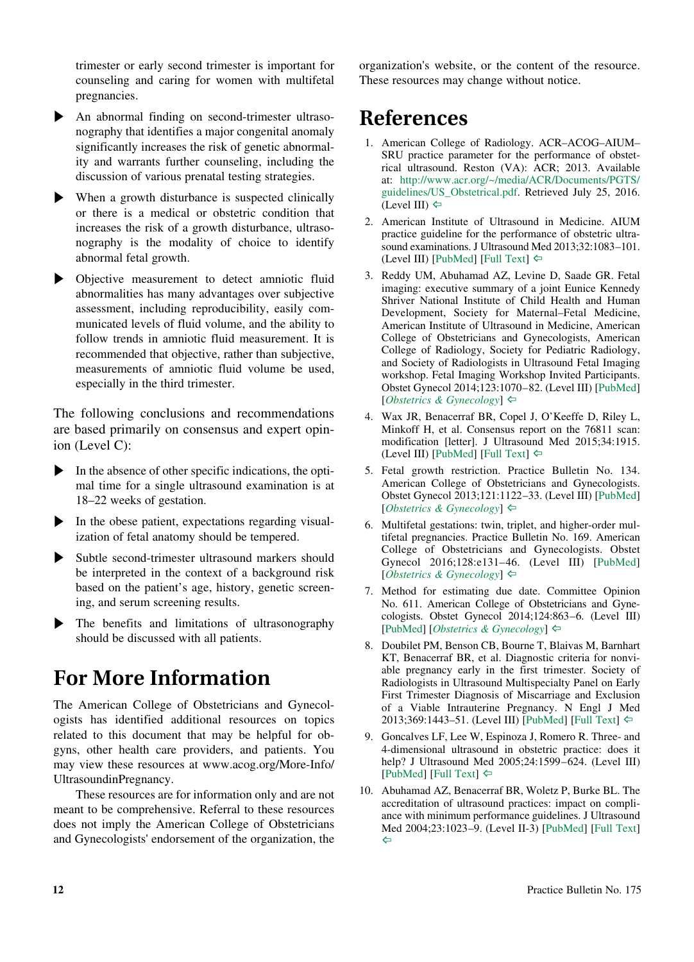trimester or early second trimester is important for counseling and caring for women with multifetal pregnancies.

- An abnormal finding on second-trimester ultrasonography that identifies a major congenital anomaly significantly increases the risk of genetic abnormality and warrants further counseling, including the discussion of various prenatal testing strategies.
- When a growth disturbance is suspected clinically or there is a medical or obstetric condition that increases the risk of a growth disturbance, ultrasonography is the modality of choice to identify abnormal fetal growth.
- Objective measurement to detect amniotic fluid abnormalities has many advantages over subjective assessment, including reproducibility, easily communicated levels of fluid volume, and the ability to follow trends in amniotic fluid measurement. It is recommended that objective, rather than subjective, measurements of amniotic fluid volume be used, especially in the third trimester.

The following conclusions and recommendations are based primarily on consensus and expert opinion (Level C):

- In the absence of other specific indications, the optimal time for a single ultrasound examination is at 18–22 weeks of gestation.
- In the obese patient, expectations regarding visualization of fetal anatomy should be tempered.
- Subtle second-trimester ultrasound markers should be interpreted in the context of a background risk based on the patient's age, history, genetic screening, and serum screening results.
- The benefits and limitations of ultrasonography should be discussed with all patients.

# **For More Information**

The American College of Obstetricians and Gynecologists has identified additional resources on topics related to this document that may be helpful for obgyns, other health care providers, and patients. You may view these resources at www.acog.org/More-Info/ UltrasoundinPregnancy.

These resources are for information only and are not meant to be comprehensive. Referral to these resources does not imply the American College of Obstetricians and Gynecologists' endorsement of the organization, the

organization's website, or the content of the resource. These resources may change without notice.

# **References**

- <span id="page-11-1"></span>1. American College of Radiology. ACR–ACOG–AIUM– SRU practice parameter for the performance of obstetrical ultrasound. Reston (VA): ACR; 2013. Available at: [http://www.acr.org/~/media/ACR/Documents/PGTS/](http://www.acr.org/~/media/ACR/Documents/PGTS/guidelines/US_Obstetrical.pdf) [guidelines/US\\_Obstetrical.pdf](http://www.acr.org/~/media/ACR/Documents/PGTS/guidelines/US_Obstetrical.pdf). Retrieved July 25, 2016. (Level III)  $\Leftrightarrow$
- <span id="page-11-2"></span>2. American Institute of Ultrasound in Medicine. AIUM practice guideline for the performance of obstetric ultrasound examinations. J Ultrasound Med 2013;32:1083–101. (Level III) [\[PubMed\]](https://www.ncbi.nlm.nih.gov/pubmed/23716532) [\[Full Text\]](http://www.jultrasoundmed.org/content/32/6/1083.long)  $\Leftrightarrow$
- <span id="page-11-0"></span>3. Reddy UM, Abuhamad AZ, Levine D, Saade GR. Fetal imaging: executive summary of a joint Eunice Kennedy Shriver National Institute of Child Health and Human Development, Society for Maternal–Fetal Medicine, American Institute of Ultrasound in Medicine, American College of Obstetricians and Gynecologists, American College of Radiology, Society for Pediatric Radiology, and Society of Radiologists in Ultrasound Fetal Imaging workshop. Fetal Imaging Workshop Invited Participants. Obstet Gynecol 2014;123:1070–82. (Level III) [[PubMed](https://www.ncbi.nlm.nih.gov/pubmed/24785860)] [*[Obstetrics & Gynecology](http://journals.lww.com/greenjournal/Fulltext/2014/05000/Fetal_Imaging__Executive_Summary_of_a_Joint_Eunice.23.aspx)*] [^](#page-0-2)
- <span id="page-11-3"></span>4. Wax JR, Benacerraf BR, Copel J, O'Keeffe D, Riley L, Minkoff H, et al. Consensus report on the 76811 scan: modification [letter]. J Ultrasound Med 2015;34:1915. (Level III) [\[PubMed\]](https://www.ncbi.nlm.nih.gov/pubmed/26384613) [\[Full Text\]](http://www.jultrasoundmed.org/content/34/10/1915.long)  $\Leftrightarrow$
- <span id="page-11-4"></span>5. Fetal growth restriction. Practice Bulletin No. 134. American College of Obstetricians and Gynecologists. Obstet Gynecol 2013;121:1122–33. (Level III) [[PubMed](https://www.ncbi.nlm.nih.gov/pubmed/23635765)] [*[Obstetrics & Gynecology](http://journals.lww.com/greenjournal/Fulltext/2013/05000/Practice_Bulletin_No__134___Fetal_Growth.45.aspx)*] [^](#page-1-4)
- <span id="page-11-5"></span>6. Multifetal gestations: twin, triplet, and higher-order multifetal pregnancies. Practice Bulletin No. 169. American College of Obstetricians and Gynecologists. Obstet Gynecol 2016;128:e131–46. (Level III) [[PubMed\]](https://www.ncbi.nlm.nih.gov/pubmed/27661652)  $[Obsterics & Gynecology] \Leftrightarrow$
- <span id="page-11-6"></span>7. Method for estimating due date. Committee Opinion No. 611. American College of Obstetricians and Gynecologists. Obstet Gynecol 2014;124:863–6. (Level III) [[PubMed\]](https://www.ncbi.nlm.nih.gov/pubmed/25244460) [*[Obstetrics & Gynecology](http://journals.lww.com/greenjournal/Fulltext/2014/10000/Committee_Opinion_No_611___Method_for_Estimating.43.aspx)*] [^](#page-1-6)
- <span id="page-11-7"></span>8. Doubilet PM, Benson CB, Bourne T, Blaivas M, Barnhart KT, Benacerraf BR, et al. Diagnostic criteria for nonviable pregnancy early in the first trimester. Society of Radiologists in Ultrasound Multispecialty Panel on Early First Trimester Diagnosis of Miscarriage and Exclusion of a Viable Intrauterine Pregnancy. N Engl J Med 2013;369:1443–51. (Level III) [\[PubMed\]](https://www.ncbi.nlm.nih.gov/pubmed/24106937) [\[Full Text\]](http://www.nejm.org/doi/full/10.1056/NEJMra1302417) [^](#page-2-2)
- <span id="page-11-8"></span>9. Goncalves LF, Lee W, Espinoza J, Romero R. Three- and 4-dimensional ultrasound in obstetric practice: does it help? J Ultrasound Med 2005;24:1599–624. (Level III) [[PubMed](https://www.ncbi.nlm.nih.gov/pubmed/16301717)] [[Full Text](http://www.jultrasoundmed.org/content/24/12/1599.long)]  $\Leftrightarrow$
- <span id="page-11-9"></span>10. Abuhamad AZ, Benacerraf BR, Woletz P, Burke BL. The accreditation of ultrasound practices: impact on compliance with minimum performance guidelines. J Ultrasound Med 2004;23:1023–9. (Level II-3) [\[PubMed\]](https://www.ncbi.nlm.nih.gov/pubmed/15284459) [\[Full Text](http://www.jultrasoundmed.org/content/23/8/1023.long)]  $\Leftrightarrow$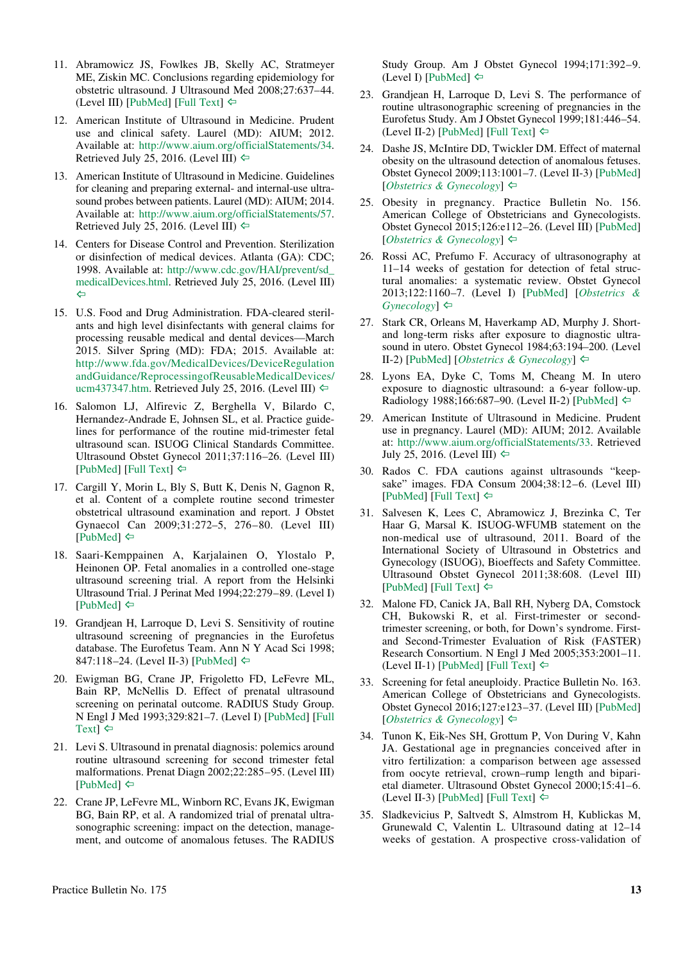- <span id="page-12-0"></span>11. Abramowicz JS, Fowlkes JB, Skelly AC, Stratmeyer ME, Ziskin MC. Conclusions regarding epidemiology for obstetric ultrasound. J Ultrasound Med 2008;27:637–44. (Level III) [\[PubMed\]](https://www.ncbi.nlm.nih.gov/pubmed/18359912) [\[Full Text\]](http://www.jultrasoundmed.org/content/27/4/637.long)  $\Leftrightarrow$
- <span id="page-12-1"></span>12. American Institute of Ultrasound in Medicine. Prudent use and clinical safety. Laurel (MD): AIUM; 2012. Available at: [http://www.aium.org/officialStatements/34.](http://www.aium.org/officialStatements/34) Retrieved July 25, 2016. (Level III)  $\Leftarrow$
- <span id="page-12-2"></span>13. American Institute of Ultrasound in Medicine. Guidelines for cleaning and preparing external- and internal-use ultrasound probes between patients. Laurel (MD): AIUM; 2014. Available at: [http://www.aium.org/officialStatements/57.](http://www.aium.org/officialStatements/57) Retrieved July 25, 2016. (Level III)  $\Leftarrow$
- <span id="page-12-3"></span>14. Centers for Disease Control and Prevention. Sterilization or disinfection of medical devices. Atlanta (GA): CDC; 1998. Available at: [http://www.cdc.gov/HAI/prevent/sd\\_](http://www.cdc.gov/HAI/prevent/sd_medicalDevices.html) [medicalDevices.html.](http://www.cdc.gov/HAI/prevent/sd_medicalDevices.html) Retrieved July 25, 2016. (Level III)  $\Leftrightarrow$
- <span id="page-12-4"></span>15. U.S. Food and Drug Administration. FDA-cleared sterilants and high level disinfectants with general claims for processing reusable medical and dental devices—March 2015. Silver Spring (MD): FDA; 2015. Available at: [http://www.fda.gov/MedicalDevices/DeviceRegulation](http://www.fda.gov/MedicalDevices/DeviceRegulationandGuidance/ReprocessingofReusableMedicalDevices/ucm437347.htm) [andGuidance/ReprocessingofReusableMedicalDevices/](http://www.fda.gov/MedicalDevices/DeviceRegulationandGuidance/ReprocessingofReusableMedicalDevices/ucm437347.htm) [ucm437347.htm.](http://www.fda.gov/MedicalDevices/DeviceRegulationandGuidance/ReprocessingofReusableMedicalDevices/ucm437347.htm) Retrieved July 25, 2016. (Level III) ⇔
- <span id="page-12-5"></span>16. Salomon LJ, Alfirevic Z, Berghella V, Bilardo C, Hernandez-Andrade E, Johnsen SL, et al. Practice guidelines for performance of the routine mid-trimester fetal ultrasound scan. ISUOG Clinical Standards Committee. Ultrasound Obstet Gynecol 2011;37:116–26. (Level III) [[PubMed](https://www.ncbi.nlm.nih.gov/pubmed/20842655)] [[Full Text](http://onlinelibrary.wiley.com/doi/10.1002/uog.8831/full)]  $\Leftrightarrow$
- <span id="page-12-6"></span>17. Cargill Y, Morin L, Bly S, Butt K, Denis N, Gagnon R, et al. Content of a complete routine second trimester obstetrical ultrasound examination and report. J Obstet Gynaecol Can 2009;31:272–5, 276–80. (Level III) [[PubMed](https://www.ncbi.nlm.nih.gov/pubmed/19416575)] [^](#page-5-5)
- <span id="page-12-7"></span>18. Saari-Kemppainen A, Karjalainen O, Ylostalo P, Heinonen OP. Fetal anomalies in a controlled one-stage ultrasound screening trial. A report from the Helsinki Ultrasound Trial. J Perinat Med 1994;22:279–89. (Level I)  $[PubMed] \Leftrightarrow$  $[PubMed] \Leftrightarrow$  $[PubMed] \Leftrightarrow$
- 19. Grandjean H, Larroque D, Levi S. Sensitivity of routine ultrasound screening of pregnancies in the Eurofetus database. The Eurofetus Team. Ann N Y Acad Sci 1998; 847:118–24. (Level II-3) [\[PubMed\]](https://www.ncbi.nlm.nih.gov/pubmed/9668704) ⇔
- 20. Ewigman BG, Crane JP, Frigoletto FD, LeFevre ML, Bain RP, McNellis D. Effect of prenatal ultrasound screening on perinatal outcome. RADIUS Study Group. N Engl J Med 1993;329:821–7. (Level I) [[PubMed](https://www.ncbi.nlm.nih.gov/pubmed/8355740)] [\[Full](http://www.nejm.org/doi/full/10.1056/NEJM199309163291201#t=article) [Text](http://www.nejm.org/doi/full/10.1056/NEJM199309163291201#t=article)]  $\Leftrightarrow$
- <span id="page-12-8"></span>21. Levi S. Ultrasound in prenatal diagnosis: polemics around routine ultrasound screening for second trimester fetal malformations. Prenat Diagn 2002;22:285–95. (Level III) [[PubMed](https://www.ncbi.nlm.nih.gov/pubmed/11981909)] [^](#page-5-7)
- <span id="page-12-9"></span>22. Crane JP, LeFevre ML, Winborn RC, Evans JK, Ewigman BG, Bain RP, et al. A randomized trial of prenatal ultrasonographic screening: impact on the detection, management, and outcome of anomalous fetuses. The RADIUS

Study Group. Am J Obstet Gynecol 1994;171:392–9. (Level I) [[PubMed](https://www.ncbi.nlm.nih.gov/pubmed/8059817)]  $\Leftrightarrow$ 

- <span id="page-12-10"></span>23. Grandjean H, Larroque D, Levi S. The performance of routine ultrasonographic screening of pregnancies in the Eurofetus Study. Am J Obstet Gynecol 1999;181:446–54. (Level II-2) [\[PubMed\]](https://www.ncbi.nlm.nih.gov/pubmed/10454699) [\[Full Text\]](http://www.sciencedirect.com/science/article/pii/S0002937899705776)  $\Leftrightarrow$
- <span id="page-12-11"></span>24. Dashe JS, McIntire DD, Twickler DM. Effect of maternal obesity on the ultrasound detection of anomalous fetuses. Obstet Gynecol 2009;113:1001–7. (Level II-3) [\[PubMed\]](https://www.ncbi.nlm.nih.gov/pubmed/19384114)  $[Obsterics & Gynecology] \Leftrightarrow$
- <span id="page-12-12"></span>25. Obesity in pregnancy. Practice Bulletin No. 156. American College of Obstetricians and Gynecologists. Obstet Gynecol 2015;126:e112–26. (Level III) [\[PubMed\]](https://www.ncbi.nlm.nih.gov/pubmed/26595582) [*[Obstetrics & Gynecology](http://journals.lww.com/greenjournal/Fulltext/2015/12000/Practice_Bulletin_No_156___Obesity_in_Pregnancy.55.aspx)*] [^](#page-5-11)
- <span id="page-12-13"></span>26. Rossi AC, Prefumo F. Accuracy of ultrasonography at 11–14 weeks of gestation for detection of fetal structural anomalies: a systematic review. Obstet Gynecol 2013;122:1160–7. (Level I) [[PubMed\]](https://www.ncbi.nlm.nih.gov/pubmed/24201688) [*[Obstetrics &](http://journals.lww.com/greenjournal/Fulltext/2013/12000/Accuracy_of_Ultrasonography_at_11_14_Weeks_of.5.aspx)*   $Gynecology$   $\rightleftharpoons$
- <span id="page-12-14"></span>27. Stark CR, Orleans M, Haverkamp AD, Murphy J. Shortand long-term risks after exposure to diagnostic ultrasound in utero. Obstet Gynecol 1984;63:194–200. (Level II-2) [\[PubMed\]](https://www.ncbi.nlm.nih.gov/pubmed/6198611) [*[Obstetrics & Gynecology](http://journals.lww.com/greenjournal/Abstract/1984/02000/Short__and_Long_Term_Risks_After_Exposure_to.12.aspx)*] [^](#page-5-13)
- 28. Lyons EA, Dyke C, Toms M, Cheang M. In utero exposure to diagnostic ultrasound: a 6-year follow-up. Radiology 1988;166:687–90. (Level II-2) [[PubMed](https://www.ncbi.nlm.nih.gov/pubmed/3277240)] [^](#page-5-13)
- 29. American Institute of Ultrasound in Medicine. Prudent use in pregnancy. Laurel (MD): AIUM; 2012. Available at: [http://www.aium.org/officialStatements/33.](http://www.aium.org/officialStatements/33) Retrieved July 25, 2016. (Level III)  $\Leftrightarrow$
- <span id="page-12-15"></span>30. Rados C. FDA cautions against ultrasounds "keepsake" images. FDA Consum 2004;38:12–6. (Level III)  $[PubMed] [Full Text] \Leftrightarrow$  $[PubMed] [Full Text] \Leftrightarrow$  $[PubMed] [Full Text] \Leftrightarrow$  $[PubMed] [Full Text] \Leftrightarrow$
- <span id="page-12-16"></span>31. Salvesen K, Lees C, Abramowicz J, Brezinka C, Ter Haar G, Marsal K. ISUOG-WFUMB statement on the non-medical use of ultrasound, 2011. Board of the International Society of Ultrasound in Obstetrics and Gynecology (ISUOG), Bioeffects and Safety Committee. Ultrasound Obstet Gynecol 2011;38:608. (Level III)  $[PubMed] [Full Text] \Leftrightarrow$  $[PubMed] [Full Text] \Leftrightarrow$  $[PubMed] [Full Text] \Leftrightarrow$  $[PubMed] [Full Text] \Leftrightarrow$
- <span id="page-12-17"></span>32. Malone FD, Canick JA, Ball RH, Nyberg DA, Comstock CH, Bukowski R, et al. First-trimester or secondtrimester screening, or both, for Down's syndrome. Firstand Second-Trimester Evaluation of Risk (FASTER) Research Consortium. N Engl J Med 2005;353:2001–11. (Level II-1) [\[PubMed\]](https://www.ncbi.nlm.nih.gov/pubmed/16282175) [\[Full Text\]](http://www.nejm.org/doi/full/10.1056/NEJMoa043693#t=article)  $\Leftrightarrow$
- <span id="page-12-18"></span>33. Screening for fetal aneuploidy. Practice Bulletin No. 163. American College of Obstetricians and Gynecologists. Obstet Gynecol 2016;127:e123–37. (Level III) [\[PubMed\]](https://www.ncbi.nlm.nih.gov/pubmed/26938574)  $[Obsterics & Gynecology] \Leftrightarrow$
- <span id="page-12-19"></span>34. Tunon K, Eik-Nes SH, Grottum P, Von During V, Kahn JA. Gestational age in pregnancies conceived after in vitro fertilization: a comparison between age assessed from oocyte retrieval, crown–rump length and biparietal diameter. Ultrasound Obstet Gynecol 2000;15:41–6. (Level II-3) [\[PubMed\]](https://www.ncbi.nlm.nih.gov/pubmed/10776011) [\[Full Text\]](http://onlinelibrary.wiley.com/doi/10.1046/j.1469-0705.2000.00004.x/full)  $\Leftrightarrow$
- <span id="page-12-20"></span>35. Sladkevicius P, Saltvedt S, Almstrom H, Kublickas M, Grunewald C, Valentin L. Ultrasound dating at 12–14 weeks of gestation. A prospective cross-validation of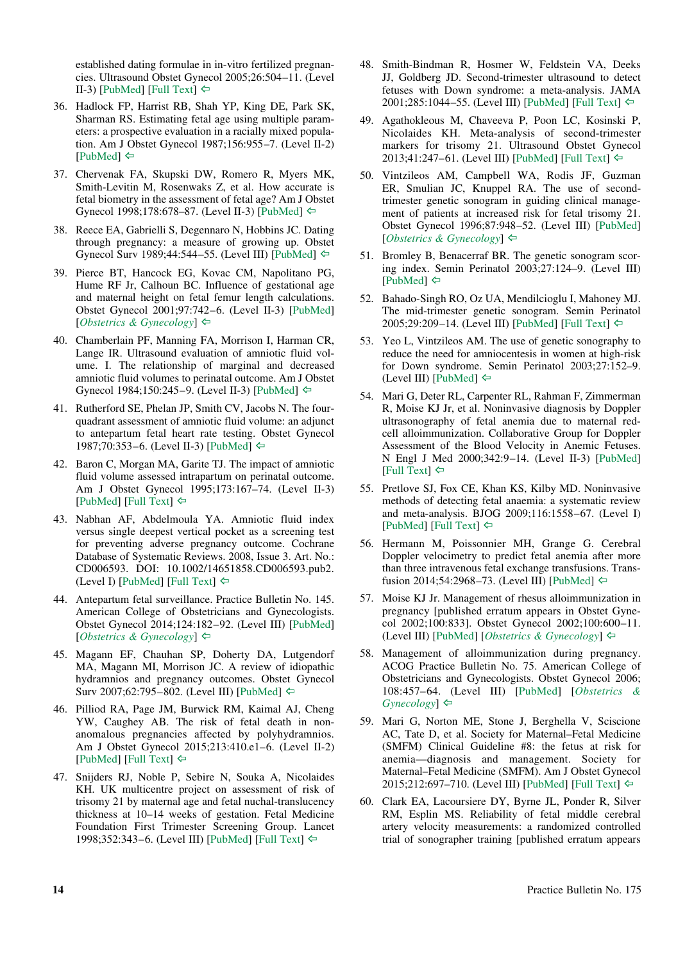established dating formulae in in-vitro fertilized pregnancies. Ultrasound Obstet Gynecol 2005;26:504–11. (Level II-3) [[PubMed](https://www.ncbi.nlm.nih.gov/pubmed/16149101)] [[Full Text](http://onlinelibrary.wiley.com/doi/10.1002/uog.1993/full)]  $\Leftrightarrow$ 

- <span id="page-13-0"></span>36. Hadlock FP, Harrist RB, Shah YP, King DE, Park SK, Sharman RS. Estimating fetal age using multiple parameters: a prospective evaluation in a racially mixed population. Am J Obstet Gynecol 1987;156:955–7. (Level II-2) [[PubMed](https://www.ncbi.nlm.nih.gov/pubmed/3578406)] [^](#page-6-7)
- <span id="page-13-1"></span>37. Chervenak FA, Skupski DW, Romero R, Myers MK, Smith-Levitin M, Rosenwaks Z, et al. How accurate is fetal biometry in the assessment of fetal age? Am J Obstet Gynecol 1998;178:678–87. (Level II-3) [\[PubMed\]](https://www.ncbi.nlm.nih.gov/pubmed/9579429) [^](#page-6-8)
- <span id="page-13-2"></span>38. Reece EA, Gabrielli S, Degennaro N, Hobbins JC. Dating through pregnancy: a measure of growing up. Obstet Gynecol Surv 1989;44:544–55. (Level III) [\[PubMed\]](https://www.ncbi.nlm.nih.gov/pubmed/2662082) [^](#page-6-9)
- <span id="page-13-3"></span>39. Pierce BT, Hancock EG, Kovac CM, Napolitano PG, Hume RF Jr, Calhoun BC. Influence of gestational age and maternal height on fetal femur length calculations. Obstet Gynecol 2001;97:742–6. (Level II-3) [[PubMed](https://www.ncbi.nlm.nih.gov/pubmed/11339927)]  $[Obsetetics & Gynecology] \Leftrightarrow$
- <span id="page-13-4"></span>40. Chamberlain PF, Manning FA, Morrison I, Harman CR, Lange IR. Ultrasound evaluation of amniotic fluid volume. I. The relationship of marginal and decreased amniotic fluid volumes to perinatal outcome. Am J Obstet Gynecol 1984;150:245–9. (Level II-3) [[PubMed](https://www.ncbi.nlm.nih.gov/pubmed/6385713)] ⇔
- <span id="page-13-5"></span>41. Rutherford SE, Phelan JP, Smith CV, Jacobs N. The fourquadrant assessment of amniotic fluid volume: an adjunct to antepartum fetal heart rate testing. Obstet Gynecol 1987;70:353–6. (Level II-3) [\[PubMed\]](https://www.ncbi.nlm.nih.gov/pubmed/3306497) ⇔
- <span id="page-13-6"></span>42. Baron C, Morgan MA, Garite TJ. The impact of amniotic fluid volume assessed intrapartum on perinatal outcome. Am J Obstet Gynecol 1995;173:167–74. (Level II-3)  $[PubMed] [Full Text] \Leftrightarrow$  $[PubMed] [Full Text] \Leftrightarrow$  $[PubMed] [Full Text] \Leftrightarrow$  $[PubMed] [Full Text] \Leftrightarrow$  $[PubMed] [Full Text] \Leftrightarrow$
- <span id="page-13-7"></span>43. Nabhan AF, Abdelmoula YA. Amniotic fluid index versus single deepest vertical pocket as a screening test for preventing adverse pregnancy outcome. Cochrane Database of Systematic Reviews. 2008, Issue 3. Art. No.: CD006593. DOI: 10.1002/14651858.CD006593.pub2. (Level I) [\[PubMed\]](https://www.ncbi.nlm.nih.gov/pubmed/18646160) [\[Full Text\]](http://onlinelibrary.wiley.com/doi/10.1002/14651858.CD006593.pub2/full)  $\Leftrightarrow$
- <span id="page-13-8"></span>44. Antepartum fetal surveillance. Practice Bulletin No. 145. American College of Obstetricians and Gynecologists. Obstet Gynecol 2014;124:182–92. (Level III) [[PubMed](https://www.ncbi.nlm.nih.gov/pubmed/24945455)]  $[Obsterics & Gynecology] \Leftrightarrow$
- <span id="page-13-9"></span>45. Magann EF, Chauhan SP, Doherty DA, Lutgendorf MA, Magann MI, Morrison JC. A review of idiopathic hydramnios and pregnancy outcomes. Obstet Gynecol Surv 2007;62:795–802. (Level III) [\[PubMed\]](https://www.ncbi.nlm.nih.gov/pubmed/18005456) [^](#page-7-6)
- <span id="page-13-10"></span>46. Pilliod RA, Page JM, Burwick RM, Kaimal AJ, Cheng YW, Caughey AB. The risk of fetal death in nonanomalous pregnancies affected by polyhydramnios. Am J Obstet Gynecol 2015;213:410.e1–6. (Level II-2)  $[PubMed] [Full Text] \Leftrightarrow$  $[PubMed] [Full Text] \Leftrightarrow$  $[PubMed] [Full Text] \Leftrightarrow$  $[PubMed] [Full Text] \Leftrightarrow$  $[PubMed] [Full Text] \Leftrightarrow$
- <span id="page-13-11"></span>47. Snijders RJ, Noble P, Sebire N, Souka A, Nicolaides KH. UK multicentre project on assessment of risk of trisomy 21 by maternal age and fetal nuchal-translucency thickness at 10–14 weeks of gestation. Fetal Medicine Foundation First Trimester Screening Group. Lancet 1998;352:343–6. (Level III) [\[PubMed\]](https://www.ncbi.nlm.nih.gov/pubmed/9717920) [\[Full Text\]](http://www.sciencedirect.com/science/article/pii/S0140673697112806) ⇔
- <span id="page-13-12"></span>48. Smith-Bindman R, Hosmer W, Feldstein VA, Deeks JJ, Goldberg JD. Second-trimester ultrasound to detect fetuses with Down syndrome: a meta-analysis. JAMA 2001;285:1044–55. (Level III) [\[PubMed\]](https://www.ncbi.nlm.nih.gov/pubmed/11209176) [\[Full Text\]](http://jamanetwork.com/journals/jama/fullarticle/193588) [^](#page-8-1)
- <span id="page-13-13"></span>49. Agathokleous M, Chaveeva P, Poon LC, Kosinski P, Nicolaides KH. Meta-analysis of second-trimester markers for trisomy 21. Ultrasound Obstet Gynecol 2013;41:247–61. (Level III) [\[PubMed\]](https://www.ncbi.nlm.nih.gov/pubmed/23208748) [\[Full Text\]](http://onlinelibrary.wiley.com/doi/10.1002/uog.12364/full) [^](#page-8-2)
- <span id="page-13-14"></span>50. Vintzileos AM, Campbell WA, Rodis JF, Guzman ER, Smulian JC, Knuppel RA. The use of secondtrimester genetic sonogram in guiding clinical management of patients at increased risk for fetal trisomy 21. Obstet Gynecol 1996;87:948–52. (Level III) [\[PubMed\]](https://www.ncbi.nlm.nih.gov/pubmed/8649704)  $[Obsterics & Gynecology] \Leftrightarrow$
- <span id="page-13-15"></span>51. Bromley B, Benacerraf BR. The genetic sonogram scoring index. Semin Perinatol 2003;27:124–9. (Level III)  $[PubMed] \Leftrightarrow$  $[PubMed] \Leftrightarrow$
- <span id="page-13-16"></span>52. Bahado-Singh RO, Oz UA, Mendilcioglu I, Mahoney MJ. The mid-trimester genetic sonogram. Semin Perinatol 2005;29:209–14. (Level III) [\[PubMed\]](https://www.ncbi.nlm.nih.gov/pubmed/16104670) [\[Full Text\]](http://www.sciencedirect.com/science/article/pii/S0146000505000716) ⇔
- <span id="page-13-17"></span>53. Yeo L, Vintzileos AM. The use of genetic sonography to reduce the need for amniocentesis in women at high-risk for Down syndrome. Semin Perinatol 2003;27:152–9. (Level III) [[PubMed](https://www.ncbi.nlm.nih.gov/pubmed/12769201)]  $\Leftrightarrow$
- <span id="page-13-18"></span>54. Mari G, Deter RL, Carpenter RL, Rahman F, Zimmerman R, Moise KJ Jr, et al. Noninvasive diagnosis by Doppler ultrasonography of fetal anemia due to maternal redcell alloimmunization. Collaborative Group for Doppler Assessment of the Blood Velocity in Anemic Fetuses. N Engl J Med 2000;342:9–14. (Level II-3) [\[PubMed\]](https://www.ncbi.nlm.nih.gov/pubmed/10620643)  $[Full Text] \Leftrightarrow$  $[Full Text] \Leftrightarrow$
- <span id="page-13-19"></span>55. Pretlove SJ, Fox CE, Khan KS, Kilby MD. Noninvasive methods of detecting fetal anaemia: a systematic review and meta-analysis. BJOG 2009;116:1558–67. (Level I) [\[PubMed\]](https://www.ncbi.nlm.nih.gov/pubmed/19681854) [\[Full Text\]](http://onlinelibrary.wiley.com/doi/10.1111/j.1471-0528.2009.02255.x/full) [^](#page-8-8)
- <span id="page-13-20"></span>56. Hermann M, Poissonnier MH, Grange G. Cerebral Doppler velocimetry to predict fetal anemia after more than three intravenous fetal exchange transfusions. Trans-fusion 2014;54:2968–73. (Level III) [[PubMed](https://www.ncbi.nlm.nih.gov/pubmed/24845829)] ⇔
- <span id="page-13-21"></span>57. Moise KJ Jr. Management of rhesus alloimmunization in pregnancy [published erratum appears in Obstet Gynecol 2002;100:833]. Obstet Gynecol 2002;100:600–11. (Level III) [[PubMed](https://www.ncbi.nlm.nih.gov/pubmed/12220785)] [*[Obstetrics & Gynecology](http://journals.lww.com/greenjournal/Fulltext/2002/09000/Management_of_Rhesus_Alloimmunization_in_Pregnancy.32.aspx)*] [^](#page-8-10)
- <span id="page-13-22"></span>58. Management of alloimmunization during pregnancy. ACOG Practice Bulletin No. 75. American College of Obstetricians and Gynecologists. Obstet Gynecol 2006; 108:457–64. (Level III) [\[PubMed\]](https://www.ncbi.nlm.nih.gov/pubmed/16880320) [*[Obstetrics &](http://journals.lww.com/greenjournal/Citation/2006/08000/ACOG_Practice_Bulletin_No__75__Management_of.44.aspx)  [Gynecology](http://journals.lww.com/greenjournal/Citation/2006/08000/ACOG_Practice_Bulletin_No__75__Management_of.44.aspx)*] ⇔
- 59. Mari G, Norton ME, Stone J, Berghella V, Sciscione AC, Tate D, et al. Society for Maternal–Fetal Medicine (SMFM) Clinical Guideline #8: the fetus at risk for anemia—diagnosis and management. Society for Maternal–Fetal Medicine (SMFM). Am J Obstet Gynecol 2015;212:697–710. (Level III) [[PubMed](https://www.ncbi.nlm.nih.gov/pubmed/25824811)] [[Full Text](http://www.sciencedirect.com/science/article/pii/S0002937815002033)] [^](#page-8-11)
- 60. Clark EA, Lacoursiere DY, Byrne JL, Ponder R, Silver RM, Esplin MS. Reliability of fetal middle cerebral artery velocity measurements: a randomized controlled trial of sonographer training [published erratum appears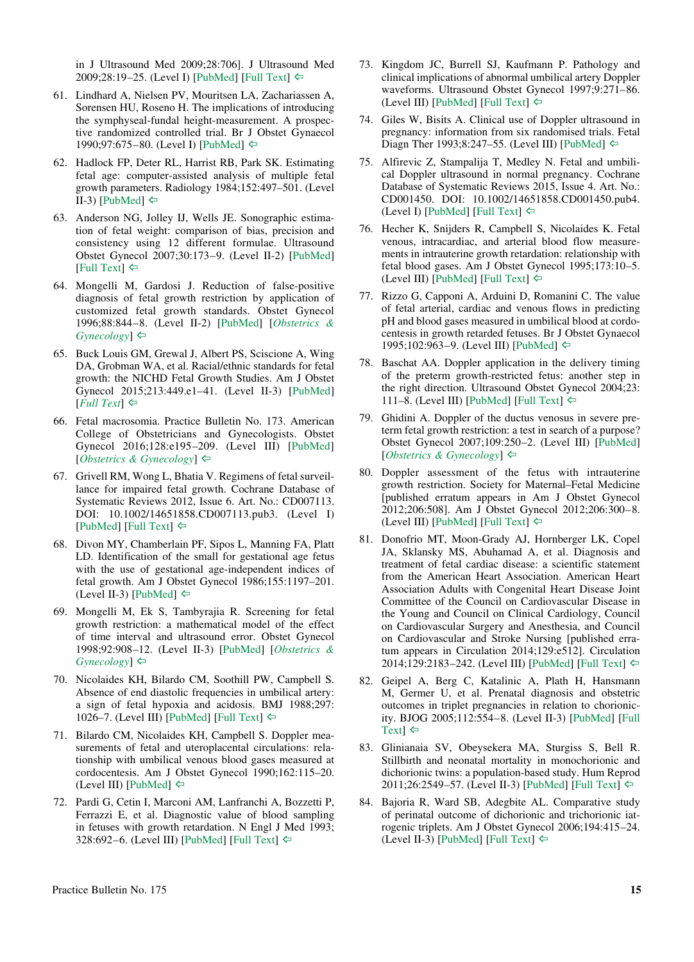in J Ultrasound Med 2009;28:706]. J Ultrasound Med 2009;28:19–25. (Level I) [\[PubMed\]](https://www.ncbi.nlm.nih.gov/pubmed/19106352) [\[Full Text\]](http://www.jultrasoundmed.org/content/28/1/19.long) ⇔

- <span id="page-14-0"></span>61. Lindhard A, Nielsen PV, Mouritsen LA, Zachariassen A, Sorensen HU, Roseno H. The implications of introducing the symphyseal-fundal height-measurement. A prospective randomized controlled trial. Br J Obstet Gynaecol 1990;97:675–80. (Level I) [\[PubMed\]](https://www.ncbi.nlm.nih.gov/pubmed/2205286) ⇔
- <span id="page-14-1"></span>62. Hadlock FP, Deter RL, Harrist RB, Park SK. Estimating fetal age: computer-assisted analysis of multiple fetal growth parameters. Radiology 1984;152:497–501. (Level II-3) [[PubMed](https://www.ncbi.nlm.nih.gov/pubmed/6739822)]  $\Leftrightarrow$
- <span id="page-14-2"></span>63. Anderson NG, Jolley IJ, Wells JE. Sonographic estimation of fetal weight: comparison of bias, precision and consistency using 12 different formulae. Ultrasound Obstet Gynecol 2007;30:173–9. (Level II-2) [[PubMed](https://www.ncbi.nlm.nih.gov/pubmed/17557378)]  $[Full Text] \Leftrightarrow$  $[Full Text] \Leftrightarrow$  $[Full Text] \Leftrightarrow$
- <span id="page-14-3"></span>64. Mongelli M, Gardosi J. Reduction of false-positive diagnosis of fetal growth restriction by application of customized fetal growth standards. Obstet Gynecol 1996;88:844–8. (Level II-2) [[PubMed](https://www.ncbi.nlm.nih.gov/pubmed/8885925)] [*[Obstetrics &](http://journals.lww.com/greenjournal/Abstract/1996/11000/Reduction_of_False_Positive_Diagnosis_of_Fetal.20.aspx)  [Gynecology](http://journals.lww.com/greenjournal/Abstract/1996/11000/Reduction_of_False_Positive_Diagnosis_of_Fetal.20.aspx)*] ⇔
- 65. Buck Louis GM, Grewal J, Albert PS, Sciscione A, Wing DA, Grobman WA, et al. Racial/ethnic standards for fetal growth: the NICHD Fetal Growth Studies. Am J Obstet Gynecol 2015;213:449.e1–41. (Level II-3) [\[PubMed](https://www.ncbi.nlm.nih.gov/pubmed/26410205)]  $[Full Text] \Leftrightarrow$  $[Full Text] \Leftrightarrow$  $[Full Text] \Leftrightarrow$
- <span id="page-14-4"></span>66. Fetal macrosomia. Practice Bulletin No. 173. American College of Obstetricians and Gynecologists. Obstet Gynecol 2016;128:e195–209. (Level III) [[PubMed\]](https://www.ncbi.nlm.nih.gov/pubmed/27776071) [*[Obstetrics & Gynecology](http://journals.lww.com/greenjournal/Fulltext/2016/11000/Practice_Bulletin_No__173___Fetal_Macrosomia.51.aspx)*] [^](#page-9-4)
- <span id="page-14-5"></span>67. Grivell RM, Wong L, Bhatia V. Regimens of fetal surveillance for impaired fetal growth. Cochrane Database of Systematic Reviews 2012, Issue 6. Art. No.: CD007113. DOI: 10.1002/14651858.CD007113.pub3. (Level I) [[PubMed](https://www.ncbi.nlm.nih.gov/pubmed/22696366)] [[Full Text](http://onlinelibrary.wiley.com/doi/10.1002/14651858.CD007113.pub3/full)] [^](#page-9-5)
- <span id="page-14-6"></span>68. Divon MY, Chamberlain PF, Sipos L, Manning FA, Platt LD. Identification of the small for gestational age fetus with the use of gestational age-independent indices of fetal growth. Am J Obstet Gynecol 1986;155:1197–201. (Level II-3) [[PubMed](https://www.ncbi.nlm.nih.gov/pubmed/3538875)]  $\Leftrightarrow$
- <span id="page-14-7"></span>69. Mongelli M, Ek S, Tambyrajia R. Screening for fetal growth restriction: a mathematical model of the effect of time interval and ultrasound error. Obstet Gynecol 1998;92:908–12. (Level II-3) [\[PubMed\]](https://www.ncbi.nlm.nih.gov/pubmed/9840547) [*[Obstetrics &](http://journals.lww.com/greenjournal/Abstract/1998/12000/Screening_for_Fetal_Growth_Restriction__A.3.aspx)*   $Gynecology$   $\Leftrightarrow$
- <span id="page-14-8"></span>70. Nicolaides KH, Bilardo CM, Soothill PW, Campbell S. Absence of end diastolic frequencies in umbilical artery: a sign of fetal hypoxia and acidosis. BMJ 1988;297: 1026–7. (Level III) [\[PubMed\]](https://www.ncbi.nlm.nih.gov/pubmed/3142596) [\[Full Text\]](https://www.ncbi.nlm.nih.gov/pmc/articles/PMC1834786/) ⇔
- 71. Bilardo CM, Nicolaides KH, Campbell S. Doppler measurements of fetal and uteroplacental circulations: relationship with umbilical venous blood gases measured at cordocentesis. Am J Obstet Gynecol 1990;162:115–20. (Level III) [\[PubMed\]](https://www.ncbi.nlm.nih.gov/pubmed/2405673)  $\Leftrightarrow$
- 72. Pardi G, Cetin I, Marconi AM, Lanfranchi A, Bozzetti P, Ferrazzi E, et al. Diagnostic value of blood sampling in fetuses with growth retardation. N Engl J Med 1993; 328:692–6. (Level III) [[PubMed](https://www.ncbi.nlm.nih.gov/pubmed/8433728)] [[Full Text](http://www.nejm.org/doi/full/10.1056/NEJM199303113281004#t=article)] ⇔
- 73. Kingdom JC, Burrell SJ, Kaufmann P. Pathology and clinical implications of abnormal umbilical artery Doppler waveforms. Ultrasound Obstet Gynecol 1997;9:271–86. (Level III) [\[PubMed\]](https://www.ncbi.nlm.nih.gov/pubmed/9168580) [\[Full Text\]](http://onlinelibrary.wiley.com/doi/10.1046/j.1469-0705.1997.09040271.x/epdf)  $\Leftrightarrow$
- <span id="page-14-9"></span>74. Giles W, Bisits A. Clinical use of Doppler ultrasound in pregnancy: information from six randomised trials. Fetal Diagn Ther 1993;8:247–55. (Level III) [[PubMed](https://www.ncbi.nlm.nih.gov/pubmed/8260078)]  $\Leftrightarrow$
- <span id="page-14-10"></span>75. Alfirevic Z, Stampalija T, Medley N. Fetal and umbilical Doppler ultrasound in normal pregnancy. Cochrane Database of Systematic Reviews 2015, Issue 4. Art. No.: CD001450. DOI: 10.1002/14651858.CD001450.pub4. (Level I) [\[PubMed\]](https://www.ncbi.nlm.nih.gov/pubmed/25874722) [\[Full Text\]](http://onlinelibrary.wiley.com/doi/10.1002/14651858.CD001450.pub4/full) [^](#page-9-10)
- <span id="page-14-11"></span>76. Hecher K, Snijders R, Campbell S, Nicolaides K. Fetal venous, intracardiac, and arterial blood flow measurements in intrauterine growth retardation: relationship with fetal blood gases. Am J Obstet Gynecol 1995;173:10–5. (Level III) [\[PubMed\]](https://www.ncbi.nlm.nih.gov/pubmed/7631665) [\[Full Text\]](http://www.sciencedirect.com/science/article/pii/0002937895901612) [^](#page-9-11)
- 77. Rizzo G, Capponi A, Arduini D, Romanini C. The value of fetal arterial, cardiac and venous flows in predicting pH and blood gases measured in umbilical blood at cordocentesis in growth retarded fetuses. Br J Obstet Gynaecol 1995;102:963–9. (Level III) [\[PubMed\]](https://www.ncbi.nlm.nih.gov/pubmed/8652487) ⇔
- 78. Baschat AA. Doppler application in the delivery timing of the preterm growth-restricted fetus: another step in the right direction. Ultrasound Obstet Gynecol 2004;23: 111–8. (Level III) [[PubMed](https://www.ncbi.nlm.nih.gov/pubmed/14770388)] [[Full Text](http://onlinelibrary.wiley.com/doi/10.1002/uog.989/full)] [^](#page-9-11)
- 79. Ghidini A. Doppler of the ductus venosus in severe preterm fetal growth restriction: a test in search of a purpose? Obstet Gynecol 2007;109:250–2. (Level III) [[PubMed](https://www.ncbi.nlm.nih.gov/pubmed/17267820)]  $[Obsetetics & Gynecology] \Leftrightarrow$
- <span id="page-14-12"></span>80. Doppler assessment of the fetus with intrauterine growth restriction. Society for Maternal–Fetal Medicine [published erratum appears in Am J Obstet Gynecol 2012;206:508]. Am J Obstet Gynecol 2012;206:300–8. (Level III) [\[PubMed\]](https://www.ncbi.nlm.nih.gov/pubmed/22464066) [\[Full Text\]](http://www.sciencedirect.com/science/article/pii/S0002937812000518)  $\Leftrightarrow$
- <span id="page-14-13"></span>81. Donofrio MT, Moon-Grady AJ, Hornberger LK, Copel JA, Sklansky MS, Abuhamad A, et al. Diagnosis and treatment of fetal cardiac disease: a scientific statement from the American Heart Association. American Heart Association Adults with Congenital Heart Disease Joint Committee of the Council on Cardiovascular Disease in the Young and Council on Clinical Cardiology, Council on Cardiovascular Surgery and Anesthesia, and Council on Cardiovascular and Stroke Nursing [published erratum appears in Circulation 2014;129:e512]. Circulation 2014;129:2183–242. (Level III) [\[PubMed\]](https://www.ncbi.nlm.nih.gov/pubmed/24763516) [\[Full Text\]](http://circ.ahajournals.org/content/129/21/2183.long) [^](#page-10-1)
- <span id="page-14-14"></span>82. Geipel A, Berg C, Katalinic A, Plath H, Hansmann M, Germer U, et al. Prenatal diagnosis and obstetric outcomes in triplet pregnancies in relation to chorionicity. BJOG 2005;112:554–8. (Level II-3) [\[PubMed\]](https://www.ncbi.nlm.nih.gov/pubmed/15842276) [\[Full](http://onlinelibrary.wiley.com/doi/10.1111/j.1471-0528.2005.00627.x/full)  $Text$ ]  $\Leftrightarrow$
- <span id="page-14-15"></span>83. Glinianaia SV, Obeysekera MA, Sturgiss S, Bell R. Stillbirth and neonatal mortality in monochorionic and dichorionic twins: a population-based study. Hum Reprod 2011;26:2549–57. (Level II-3) [[PubMed](https://www.ncbi.nlm.nih.gov/pubmed/21727159)] [[Full Text](http://humrep.oxfordjournals.org/content/26/9/2549.long)] ⇔
- <span id="page-14-16"></span>84. Bajoria R, Ward SB, Adegbite AL. Comparative study of perinatal outcome of dichorionic and trichorionic iatrogenic triplets. Am J Obstet Gynecol 2006;194:415–24. (Level II-3) [[PubMed](https://www.ncbi.nlm.nih.gov/pubmed/16458639)] [[Full Text](http://www.sciencedirect.com/science/article/pii/S0002937805012494)]  $\Leftrightarrow$